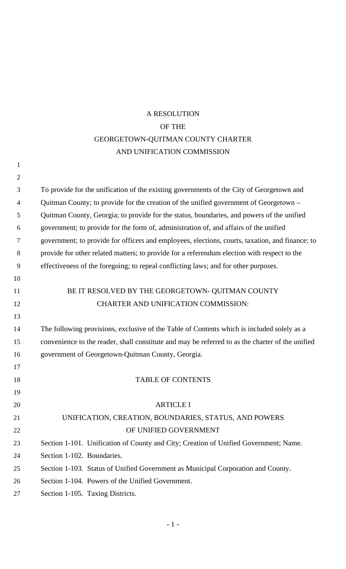# A RESOLUTION OF THE GEORGETOWN-QUITMAN COUNTY CHARTER AND UNIFICATION COMMISSION

| $\mathbf{1}$   |                                                                                                  |
|----------------|--------------------------------------------------------------------------------------------------|
| $\overline{2}$ |                                                                                                  |
| 3              | To provide for the unification of the existing governments of the City of Georgetown and         |
| $\overline{4}$ | Quitman County; to provide for the creation of the unified government of Georgetown –            |
| 5              | Quitman County, Georgia; to provide for the status, boundaries, and powers of the unified        |
| 6              | government; to provide for the form of, administration of, and affairs of the unified            |
| 7              | government; to provide for officers and employees, elections, courts, taxation, and finance; to  |
| 8              | provide for other related matters; to provide for a referendum election with respect to the      |
| 9              | effectiveness of the foregoing; to repeal conflicting laws; and for other purposes.              |
| 10             |                                                                                                  |
| 11             | BE IT RESOLVED BY THE GEORGETOWN- QUITMAN COUNTY                                                 |
| 12             | <b>CHARTER AND UNIFICATION COMMISSION:</b>                                                       |
| 13             |                                                                                                  |
| 14             | The following provisions, exclusive of the Table of Contents which is included solely as a       |
| 15             | convenience to the reader, shall constitute and may be referred to as the charter of the unified |
| 16             | government of Georgetown-Quitman County, Georgia.                                                |
| 17             |                                                                                                  |
| 18             | <b>TABLE OF CONTENTS</b>                                                                         |
| 19             |                                                                                                  |
| 20             | <b>ARTICLE I</b>                                                                                 |
| 21             | UNIFICATION, CREATION, BOUNDARIES, STATUS, AND POWERS                                            |
| 22             | OF UNIFIED GOVERNMENT                                                                            |
| 23             | Section 1-101. Unification of County and City; Creation of Unified Government; Name.             |
| 24             | Section 1-102. Boundaries.                                                                       |
| 25             | Section 1-103. Status of Unified Government as Municipal Corporation and County.                 |
| 26             | Section 1-104. Powers of the Unified Government.                                                 |
| 27             | Section 1-105. Taxing Districts.                                                                 |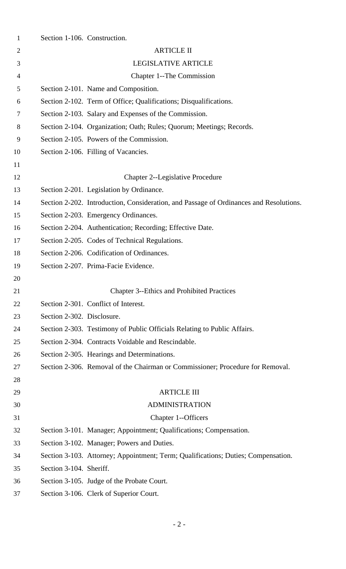| $\mathbf{1}$ | Section 1-106. Construction. |                                                                                        |
|--------------|------------------------------|----------------------------------------------------------------------------------------|
| 2            |                              | <b>ARTICLE II</b>                                                                      |
| 3            |                              | <b>LEGISLATIVE ARTICLE</b>                                                             |
| 4            |                              | <b>Chapter 1--The Commission</b>                                                       |
| 5            |                              | Section 2-101. Name and Composition.                                                   |
| 6            |                              | Section 2-102. Term of Office; Qualifications; Disqualifications.                      |
| 7            |                              | Section 2-103. Salary and Expenses of the Commission.                                  |
| 8            |                              | Section 2-104. Organization; Oath; Rules; Quorum; Meetings; Records.                   |
| 9            |                              | Section 2-105. Powers of the Commission.                                               |
| 10           |                              | Section 2-106. Filling of Vacancies.                                                   |
| 11           |                              |                                                                                        |
| 12           |                              | <b>Chapter 2--Legislative Procedure</b>                                                |
| 13           |                              | Section 2-201. Legislation by Ordinance.                                               |
| 14           |                              | Section 2-202. Introduction, Consideration, and Passage of Ordinances and Resolutions. |
| 15           |                              | Section 2-203. Emergency Ordinances.                                                   |
| 16           |                              | Section 2-204. Authentication; Recording; Effective Date.                              |
| 17           |                              | Section 2-205. Codes of Technical Regulations.                                         |
| 18           |                              | Section 2-206. Codification of Ordinances.                                             |
| 19           |                              | Section 2-207. Prima-Facie Evidence.                                                   |
| 20           |                              |                                                                                        |
| 21           |                              | <b>Chapter 3--Ethics and Prohibited Practices</b>                                      |
| 22           |                              | Section 2-301. Conflict of Interest.                                                   |
| 23           | Section 2-302. Disclosure.   |                                                                                        |
| 24           |                              | Section 2-303. Testimony of Public Officials Relating to Public Affairs.               |
| 25           |                              | Section 2-304. Contracts Voidable and Rescindable.                                     |
| 26           |                              | Section 2-305. Hearings and Determinations.                                            |
| 27           |                              | Section 2-306. Removal of the Chairman or Commissioner; Procedure for Removal.         |
| 28           |                              |                                                                                        |
| 29           |                              | <b>ARTICLE III</b>                                                                     |
| 30           |                              | <b>ADMINISTRATION</b>                                                                  |
| 31           |                              | Chapter 1--Officers                                                                    |
| 32           |                              | Section 3-101. Manager; Appointment; Qualifications; Compensation.                     |
| 33           |                              | Section 3-102. Manager; Powers and Duties.                                             |
| 34           |                              | Section 3-103. Attorney; Appointment; Term; Qualifications; Duties; Compensation.      |
| 35           | Section 3-104. Sheriff.      |                                                                                        |
| 36           |                              | Section 3-105. Judge of the Probate Court.                                             |
| 37           |                              | Section 3-106. Clerk of Superior Court.                                                |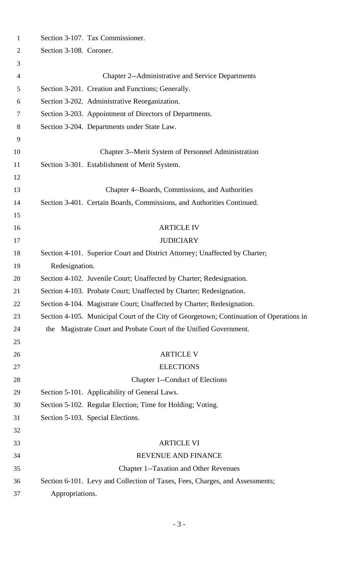| $\mathbf{1}$ | Section 3-107. Tax Commissioner.                                                        |
|--------------|-----------------------------------------------------------------------------------------|
| 2            | Section 3-108. Coroner.                                                                 |
| 3            |                                                                                         |
| 4            | <b>Chapter 2--Administrative and Service Departments</b>                                |
| 5            | Section 3-201. Creation and Functions; Generally.                                       |
| 6            | Section 3-202. Administrative Reorganization.                                           |
| 7            | Section 3-203. Appointment of Directors of Departments.                                 |
| 8            | Section 3-204. Departments under State Law.                                             |
| 9            |                                                                                         |
| 10           | Chapter 3--Merit System of Personnel Administration                                     |
| 11           | Section 3-301. Establishment of Merit System.                                           |
| 12           |                                                                                         |
| 13           | Chapter 4--Boards, Commissions, and Authorities                                         |
| 14           | Section 3-401. Certain Boards, Commissions, and Authorities Continued.                  |
| 15           |                                                                                         |
| 16           | <b>ARTICLE IV</b>                                                                       |
| 17           | <b>JUDICIARY</b>                                                                        |
| 18           | Section 4-101. Superior Court and District Attorney; Unaffected by Charter;             |
| 19           | Redesignation.                                                                          |
| 20           | Section 4-102. Juvenile Court; Unaffected by Charter; Redesignation.                    |
| 21           | Section 4-103. Probate Court; Unaffected by Charter; Redesignation.                     |
| 22           | Section 4-104. Magistrate Court; Unaffected by Charter; Redesignation.                  |
| 23           | Section 4-105. Municipal Court of the City of Georgetown; Continuation of Operations in |
| 24           | the Magistrate Court and Probate Court of the Unified Government.                       |
| 25           |                                                                                         |
| 26           | <b>ARTICLE V</b>                                                                        |
| 27           | <b>ELECTIONS</b>                                                                        |
| 28           | Chapter 1--Conduct of Elections                                                         |
| 29           | Section 5-101. Applicability of General Laws.                                           |
| 30           | Section 5-102. Regular Election; Time for Holding; Voting.                              |
| 31           | Section 5-103. Special Elections.                                                       |
| 32           |                                                                                         |
| 33           | <b>ARTICLE VI</b>                                                                       |
| 34           | REVENUE AND FINANCE                                                                     |
| 35           | <b>Chapter 1--Taxation and Other Revenues</b>                                           |
| 36           | Section 6-101. Levy and Collection of Taxes, Fees, Charges, and Assessments;            |
| 37           | Appropriations.                                                                         |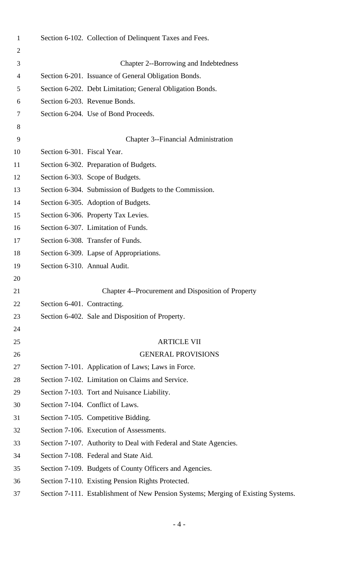| $\mathbf{1}$ |                             | Section 6-102. Collection of Delinquent Taxes and Fees.                           |
|--------------|-----------------------------|-----------------------------------------------------------------------------------|
| 2            |                             |                                                                                   |
| 3            |                             | Chapter 2--Borrowing and Indebtedness                                             |
| 4            |                             | Section 6-201. Issuance of General Obligation Bonds.                              |
| 5            |                             | Section 6-202. Debt Limitation; General Obligation Bonds.                         |
| 6            |                             | Section 6-203. Revenue Bonds.                                                     |
| 7            |                             | Section 6-204. Use of Bond Proceeds.                                              |
| 8            |                             |                                                                                   |
| 9            |                             | <b>Chapter 3--Financial Administration</b>                                        |
| 10           | Section 6-301. Fiscal Year. |                                                                                   |
| 11           |                             | Section 6-302. Preparation of Budgets.                                            |
| 12           |                             | Section 6-303. Scope of Budgets.                                                  |
| 13           |                             | Section 6-304. Submission of Budgets to the Commission.                           |
| 14           |                             | Section 6-305. Adoption of Budgets.                                               |
| 15           |                             | Section 6-306. Property Tax Levies.                                               |
| 16           |                             | Section 6-307. Limitation of Funds.                                               |
| 17           |                             | Section 6-308. Transfer of Funds.                                                 |
| 18           |                             | Section 6-309. Lapse of Appropriations.                                           |
| 19           |                             | Section 6-310. Annual Audit.                                                      |
| 20           |                             |                                                                                   |
| 21           |                             | Chapter 4--Procurement and Disposition of Property                                |
| 22           | Section 6-401. Contracting. |                                                                                   |
| 23           |                             | Section 6-402. Sale and Disposition of Property.                                  |
| 24           |                             |                                                                                   |
| 25           |                             | <b>ARTICLE VII</b>                                                                |
| 26           |                             | <b>GENERAL PROVISIONS</b>                                                         |
| 27           |                             | Section 7-101. Application of Laws; Laws in Force.                                |
| 28           |                             | Section 7-102. Limitation on Claims and Service.                                  |
| 29           |                             | Section 7-103. Tort and Nuisance Liability.                                       |
| 30           |                             | Section 7-104. Conflict of Laws.                                                  |
| 31           |                             | Section 7-105. Competitive Bidding.                                               |
| 32           |                             | Section 7-106. Execution of Assessments.                                          |
| 33           |                             | Section 7-107. Authority to Deal with Federal and State Agencies.                 |
| 34           |                             | Section 7-108. Federal and State Aid.                                             |
| 35           |                             | Section 7-109. Budgets of County Officers and Agencies.                           |
| 36           |                             | Section 7-110. Existing Pension Rights Protected.                                 |
| 37           |                             | Section 7-111. Establishment of New Pension Systems; Merging of Existing Systems. |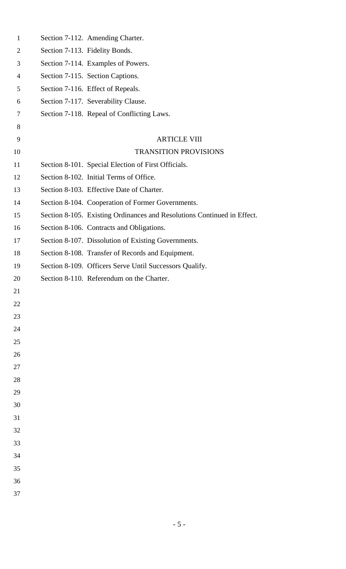| $\mathbf{1}$ | Section 7-112. Amending Charter.                                        |
|--------------|-------------------------------------------------------------------------|
| 2            | Section 7-113. Fidelity Bonds.                                          |
| 3            | Section 7-114. Examples of Powers.                                      |
| 4            | Section 7-115. Section Captions.                                        |
| 5            | Section 7-116. Effect of Repeals.                                       |
| 6            | Section 7-117. Severability Clause.                                     |
| 7            | Section 7-118. Repeal of Conflicting Laws.                              |
| 8            |                                                                         |
| 9            | <b>ARTICLE VIII</b>                                                     |
| 10           | <b>TRANSITION PROVISIONS</b>                                            |
| 11           | Section 8-101. Special Election of First Officials.                     |
| 12           | Section 8-102. Initial Terms of Office.                                 |
| 13           | Section 8-103. Effective Date of Charter.                               |
| 14           | Section 8-104. Cooperation of Former Governments.                       |
| 15           | Section 8-105. Existing Ordinances and Resolutions Continued in Effect. |
| 16           | Section 8-106. Contracts and Obligations.                               |
| 17           | Section 8-107. Dissolution of Existing Governments.                     |
| 18           | Section 8-108. Transfer of Records and Equipment.                       |
| 19           | Section 8-109. Officers Serve Until Successors Qualify.                 |
| 20           | Section 8-110. Referendum on the Charter.                               |
| 21           |                                                                         |
| 22           |                                                                         |
| 23           |                                                                         |
| 24           |                                                                         |
| 25           |                                                                         |
| 26           |                                                                         |
| 27           |                                                                         |
| 28           |                                                                         |
| 29           |                                                                         |
| 30           |                                                                         |
| 31           |                                                                         |
| 32           |                                                                         |
| 33           |                                                                         |
| 34           |                                                                         |
| 35           |                                                                         |
| 36           |                                                                         |
| 37           |                                                                         |
|              |                                                                         |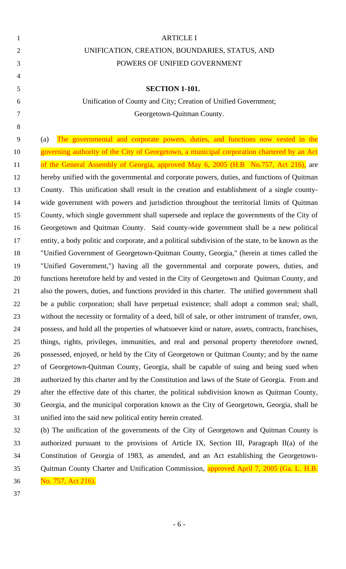|                | <b>ARTICLE I</b>                                                |
|----------------|-----------------------------------------------------------------|
| 2              | UNIFICATION, CREATION, BOUNDARIES, STATUS, AND                  |
| 3              | POWERS OF UNIFIED GOVERNMENT                                    |
| $\overline{4}$ |                                                                 |
| 5              | <b>SECTION 1-101.</b>                                           |
| 6              | Unification of County and City; Creation of Unified Government; |
| 7              | Georgetown-Quitman County.                                      |
|                |                                                                 |

 (a) The governmental and corporate powers, duties, and functions now vested in the 10 governing authority of the City of Georgetown, a municipal corporation chartered by an Act 11 of the General Assembly of Georgia, approved May 6, 2005 (H.B No.757, Act 216), are hereby unified with the governmental and corporate powers, duties, and functions of Quitman County. This unification shall result in the creation and establishment of a single county- wide government with powers and jurisdiction throughout the territorial limits of Quitman County, which single government shall supersede and replace the governments of the City of Georgetown and Quitman County. Said county-wide government shall be a new political entity, a body politic and corporate, and a political subdivision of the state, to be known as the "Unified Government of Georgetown-Quitman County, Georgia," (herein at times called the "Unified Government,") having all the governmental and corporate powers, duties, and functions heretofore held by and vested in the City of Georgetown and Quitman County, and also the powers, duties, and functions provided in this charter. The unified government shall be a public corporation; shall have perpetual existence; shall adopt a common seal; shall, without the necessity or formality of a deed, bill of sale, or other instrument of transfer, own, possess, and hold all the properties of whatsoever kind or nature, assets, contracts, franchises, things, rights, privileges, immunities, and real and personal property theretofore owned, possessed, enjoyed, or held by the City of Georgetown or Quitman County; and by the name of Georgetown-Quitman County, Georgia, shall be capable of suing and being sued when authorized by this charter and by the Constitution and laws of the State of Georgia. From and after the effective date of this charter, the political subdivision known as Quitman County, Georgia, and the municipal corporation known as the City of Georgetown, Georgia, shall be unified into the said new political entity herein created.

 (b) The unification of the governments of the City of Georgetown and Quitman County is authorized pursuant to the provisions of Article IX, Section III, Paragraph II(a) of the Constitution of Georgia of 1983, as amended, and an Act establishing the Georgetown-35 Quitman County Charter and Unification Commission, approved April 7, 2005 (Ga. L. H.B. No. 757, Act 216).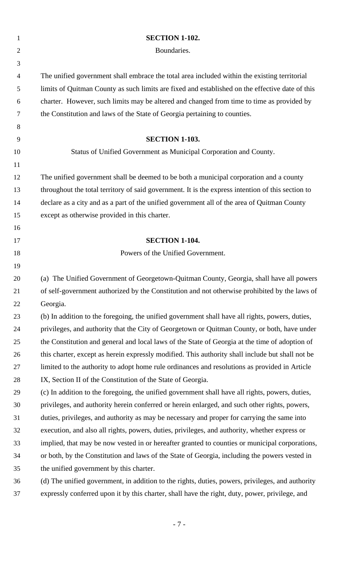| $\mathbf{1}$   | <b>SECTION 1-102.</b>                                                                             |
|----------------|---------------------------------------------------------------------------------------------------|
| $\overline{2}$ | Boundaries.                                                                                       |
| 3              |                                                                                                   |
| $\overline{4}$ | The unified government shall embrace the total area included within the existing territorial      |
| 5              | limits of Quitman County as such limits are fixed and established on the effective date of this   |
| 6              | charter. However, such limits may be altered and changed from time to time as provided by         |
| 7              | the Constitution and laws of the State of Georgia pertaining to counties.                         |
| 8              |                                                                                                   |
| 9              | <b>SECTION 1-103.</b>                                                                             |
| 10             | Status of Unified Government as Municipal Corporation and County.                                 |
| 11             |                                                                                                   |
| 12             | The unified government shall be deemed to be both a municipal corporation and a county            |
| 13             | throughout the total territory of said government. It is the express intention of this section to |
| 14             | declare as a city and as a part of the unified government all of the area of Quitman County       |
| 15             | except as otherwise provided in this charter.                                                     |
| 16             |                                                                                                   |
| 17             | <b>SECTION 1-104.</b>                                                                             |
| 18             | Powers of the Unified Government.                                                                 |
| 19             |                                                                                                   |
| 20             | (a) The Unified Government of Georgetown-Quitman County, Georgia, shall have all powers           |
| 21             | of self-government authorized by the Constitution and not otherwise prohibited by the laws of     |
| 22             | Georgia.                                                                                          |
| 23             | (b) In addition to the foregoing, the unified government shall have all rights, powers, duties,   |
| 24             | privileges, and authority that the City of Georgetown or Quitman County, or both, have under      |
| 25             | the Constitution and general and local laws of the State of Georgia at the time of adoption of    |
| 26             | this charter, except as herein expressly modified. This authority shall include but shall not be  |
| 27             | limited to the authority to adopt home rule ordinances and resolutions as provided in Article     |
| 28             | IX, Section II of the Constitution of the State of Georgia.                                       |
| 29             | (c) In addition to the foregoing, the unified government shall have all rights, powers, duties,   |
| 30             | privileges, and authority herein conferred or herein enlarged, and such other rights, powers,     |
| 31             | duties, privileges, and authority as may be necessary and proper for carrying the same into       |
| 32             | execution, and also all rights, powers, duties, privileges, and authority, whether express or     |
| 33             | implied, that may be now vested in or hereafter granted to counties or municipal corporations,    |
| 34             | or both, by the Constitution and laws of the State of Georgia, including the powers vested in     |
| 35             | the unified government by this charter.                                                           |
| 36             | (d) The unified government, in addition to the rights, duties, powers, privileges, and authority  |
| 37             | expressly conferred upon it by this charter, shall have the right, duty, power, privilege, and    |
|                |                                                                                                   |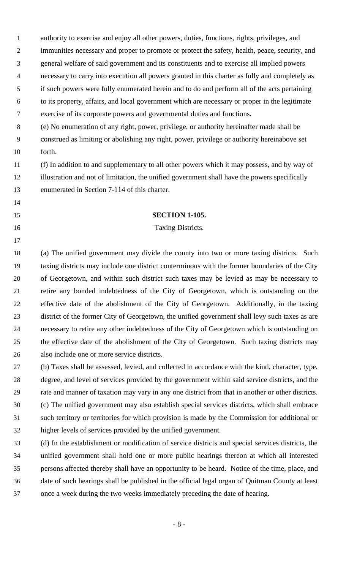authority to exercise and enjoy all other powers, duties, functions, rights, privileges, and immunities necessary and proper to promote or protect the safety, health, peace, security, and general welfare of said government and its constituents and to exercise all implied powers necessary to carry into execution all powers granted in this charter as fully and completely as if such powers were fully enumerated herein and to do and perform all of the acts pertaining to its property, affairs, and local government which are necessary or proper in the legitimate exercise of its corporate powers and governmental duties and functions. (e) No enumeration of any right, power, privilege, or authority hereinafter made shall be construed as limiting or abolishing any right, power, privilege or authority hereinabove set forth. (f) In addition to and supplementary to all other powers which it may possess, and by way of illustration and not of limitation, the unified government shall have the powers specifically enumerated in Section 7-114 of this charter. **SECTION 1-105.** 16 Taxing Districts. (a) The unified government may divide the county into two or more taxing districts. Such taxing districts may include one district conterminous with the former boundaries of the City of Georgetown, and within such district such taxes may be levied as may be necessary to retire any bonded indebtedness of the City of Georgetown, which is outstanding on the effective date of the abolishment of the City of Georgetown. Additionally, in the taxing district of the former City of Georgetown, the unified government shall levy such taxes as are necessary to retire any other indebtedness of the City of Georgetown which is outstanding on the effective date of the abolishment of the City of Georgetown. Such taxing districts may also include one or more service districts. (b) Taxes shall be assessed, levied, and collected in accordance with the kind, character, type, degree, and level of services provided by the government within said service districts, and the rate and manner of taxation may vary in any one district from that in another or other districts. (c) The unified government may also establish special services districts, which shall embrace such territory or territories for which provision is made by the Commission for additional or higher levels of services provided by the unified government.

 (d) In the establishment or modification of service districts and special services districts, the unified government shall hold one or more public hearings thereon at which all interested persons affected thereby shall have an opportunity to be heard. Notice of the time, place, and date of such hearings shall be published in the official legal organ of Quitman County at least once a week during the two weeks immediately preceding the date of hearing.

- 8 -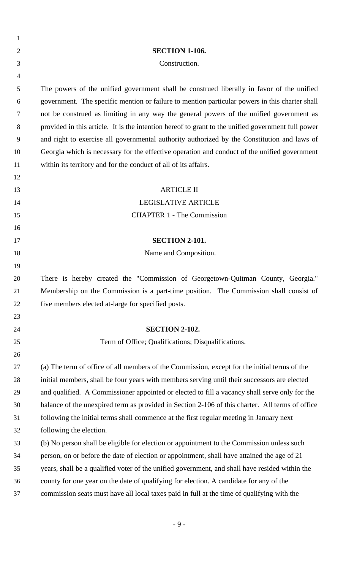| 1              |                                                                                                    |
|----------------|----------------------------------------------------------------------------------------------------|
| $\overline{2}$ | <b>SECTION 1-106.</b>                                                                              |
| 3              | Construction.                                                                                      |
| $\overline{4}$ |                                                                                                    |
| 5              | The powers of the unified government shall be construed liberally in favor of the unified          |
| 6              | government. The specific mention or failure to mention particular powers in this charter shall     |
| 7              | not be construed as limiting in any way the general powers of the unified government as            |
| 8              | provided in this article. It is the intention hereof to grant to the unified government full power |
| 9              | and right to exercise all governmental authority authorized by the Constitution and laws of        |
| 10             | Georgia which is necessary for the effective operation and conduct of the unified government       |
| 11             | within its territory and for the conduct of all of its affairs.                                    |
| 12             |                                                                                                    |
| 13             | <b>ARTICLE II</b>                                                                                  |
| 14             | <b>LEGISLATIVE ARTICLE</b>                                                                         |
| 15             | <b>CHAPTER 1 - The Commission</b>                                                                  |
| 16             |                                                                                                    |
| 17             | <b>SECTION 2-101.</b>                                                                              |
| 18             | Name and Composition.                                                                              |
| 19             |                                                                                                    |
| 20             | There is hereby created the "Commission of Georgetown-Quitman County, Georgia."                    |
| 21             | Membership on the Commission is a part-time position. The Commission shall consist of              |
| 22             | five members elected at-large for specified posts.                                                 |
| 23             |                                                                                                    |
| 24             | <b>SECTION 2-102.</b>                                                                              |
| 25             | Term of Office; Qualifications; Disqualifications.                                                 |
| 26             |                                                                                                    |
| 27             | (a) The term of office of all members of the Commission, except for the initial terms of the       |
| 28             | initial members, shall be four years with members serving until their successors are elected       |
| 29             | and qualified. A Commissioner appointed or elected to fill a vacancy shall serve only for the      |
| 30             | balance of the unexpired term as provided in Section 2-106 of this charter. All terms of office    |
| 31             | following the initial terms shall commence at the first regular meeting in January next            |
| 32             | following the election.                                                                            |
| 33             | (b) No person shall be eligible for election or appointment to the Commission unless such          |
| 34             | person, on or before the date of election or appointment, shall have attained the age of 21        |
| 35             | years, shall be a qualified voter of the unified government, and shall have resided within the     |
| 36             | county for one year on the date of qualifying for election. A candidate for any of the             |
| 37             | commission seats must have all local taxes paid in full at the time of qualifying with the         |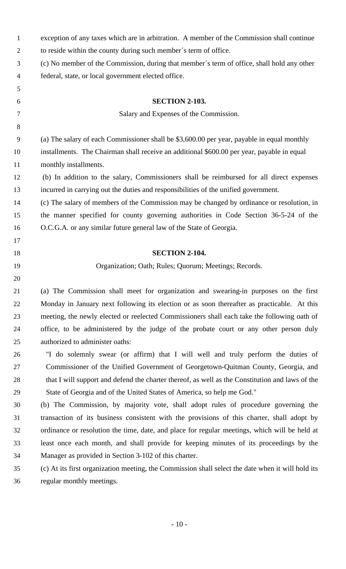| $\mathbf{1}$     | exception of any taxes which are in arbitration. A member of the Commission shall continue        |
|------------------|---------------------------------------------------------------------------------------------------|
| $\overline{2}$   | to reside within the county during such member's term of office.                                  |
| 3                | (c) No member of the Commission, during that member's term of office, shall hold any other        |
| 4                | federal, state, or local government elected office.                                               |
| 5                |                                                                                                   |
| 6                | <b>SECTION 2-103.</b>                                                                             |
| 7                | Salary and Expenses of the Commission.                                                            |
| 8                |                                                                                                   |
| $\boldsymbol{9}$ | (a) The salary of each Commissioner shall be \$3,600.00 per year, payable in equal monthly        |
| 10               | installments. The Chairman shall receive an additional \$600.00 per year, payable in equal        |
| 11               | monthly installments.                                                                             |
| 12               | (b) In addition to the salary, Commissioners shall be reimbursed for all direct expenses          |
| 13               | incurred in carrying out the duties and responsibilities of the unified government.               |
| 14               | (c) The salary of members of the Commission may be changed by ordinance or resolution, in         |
| 15               | the manner specified for county governing authorities in Code Section 36-5-24 of the              |
| 16               | O.C.G.A. or any similar future general law of the State of Georgia.                               |
| 17               |                                                                                                   |
| 18               | <b>SECTION 2-104.</b>                                                                             |
| 19               | Organization; Oath; Rules; Quorum; Meetings; Records.                                             |
| 20               |                                                                                                   |
| 21               | (a) The Commission shall meet for organization and swearing-in purposes on the first              |
| 22               | Monday in January next following its election or as soon thereafter as practicable. At this       |
| 23               | meeting, the newly elected or reelected Commissioners shall each take the following oath of       |
| 24               | office, to be administered by the judge of the probate court or any other person duly             |
| 25               | authorized to administer oaths:                                                                   |
| 26               | "I do solemnly swear (or affirm) that I will well and truly perform the duties of                 |
| 27               | Commissioner of the Unified Government of Georgetown-Quitman County, Georgia, and                 |
| 28               | that I will support and defend the charter thereof, as well as the Constitution and laws of the   |
| 29               | State of Georgia and of the United States of America, so help me God."                            |
| 30               | (b) The Commission, by majority vote, shall adopt rules of procedure governing the                |
| 31               | transaction of its business consistent with the provisions of this charter, shall adopt by        |
| 32               | ordinance or resolution the time, date, and place for regular meetings, which will be held at     |
| 33               | least once each month, and shall provide for keeping minutes of its proceedings by the            |
| 34               | Manager as provided in Section 3-102 of this charter.                                             |
| 35               | (c) At its first organization meeting, the Commission shall select the date when it will hold its |
| 36               | regular monthly meetings.                                                                         |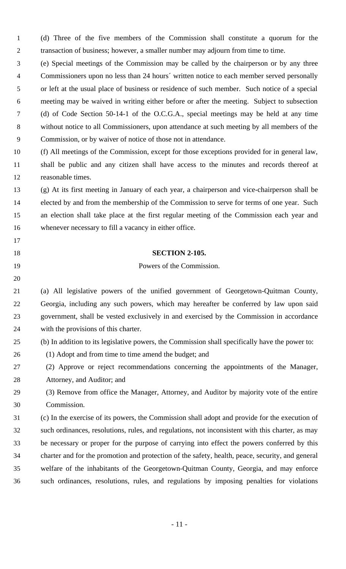(d) Three of the five members of the Commission shall constitute a quorum for the transaction of business; however, a smaller number may adjourn from time to time.

 (e) Special meetings of the Commission may be called by the chairperson or by any three Commissioners upon no less than 24 hours´ written notice to each member served personally or left at the usual place of business or residence of such member. Such notice of a special meeting may be waived in writing either before or after the meeting. Subject to subsection (d) of Code Section 50-14-1 of the O.C.G.A., special meetings may be held at any time without notice to all Commissioners, upon attendance at such meeting by all members of the Commission, or by waiver of notice of those not in attendance.

 (f) All meetings of the Commission, except for those exceptions provided for in general law, shall be public and any citizen shall have access to the minutes and records thereof at reasonable times.

 (g) At its first meeting in January of each year, a chairperson and vice-chairperson shall be elected by and from the membership of the Commission to serve for terms of one year. Such an election shall take place at the first regular meeting of the Commission each year and whenever necessary to fill a vacancy in either office.

#### **SECTION 2-105.**

#### Powers of the Commission.

 (a) All legislative powers of the unified government of Georgetown-Quitman County, Georgia, including any such powers, which may hereafter be conferred by law upon said government, shall be vested exclusively in and exercised by the Commission in accordance with the provisions of this charter.

- (b) In addition to its legislative powers, the Commission shall specifically have the power to:
- (1) Adopt and from time to time amend the budget; and

- (2) Approve or reject recommendations concerning the appointments of the Manager, Attorney, and Auditor; and
- (3) Remove from office the Manager, Attorney, and Auditor by majority vote of the entire Commission.

 (c) In the exercise of its powers, the Commission shall adopt and provide for the execution of such ordinances, resolutions, rules, and regulations, not inconsistent with this charter, as may be necessary or proper for the purpose of carrying into effect the powers conferred by this charter and for the promotion and protection of the safety, health, peace, security, and general welfare of the inhabitants of the Georgetown-Quitman County, Georgia, and may enforce such ordinances, resolutions, rules, and regulations by imposing penalties for violations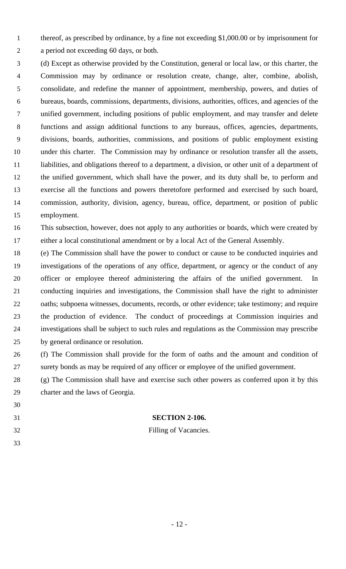thereof, as prescribed by ordinance, by a fine not exceeding \$1,000.00 or by imprisonment for a period not exceeding 60 days, or both.

 (d) Except as otherwise provided by the Constitution, general or local law, or this charter, the Commission may by ordinance or resolution create, change, alter, combine, abolish, consolidate, and redefine the manner of appointment, membership, powers, and duties of bureaus, boards, commissions, departments, divisions, authorities, offices, and agencies of the unified government, including positions of public employment, and may transfer and delete functions and assign additional functions to any bureaus, offices, agencies, departments, divisions, boards, authorities, commissions, and positions of public employment existing under this charter. The Commission may by ordinance or resolution transfer all the assets, liabilities, and obligations thereof to a department, a division, or other unit of a department of the unified government, which shall have the power, and its duty shall be, to perform and exercise all the functions and powers theretofore performed and exercised by such board, commission, authority, division, agency, bureau, office, department, or position of public employment.

 This subsection, however, does not apply to any authorities or boards, which were created by either a local constitutional amendment or by a local Act of the General Assembly.

 (e) The Commission shall have the power to conduct or cause to be conducted inquiries and investigations of the operations of any office, department, or agency or the conduct of any officer or employee thereof administering the affairs of the unified government. In conducting inquiries and investigations, the Commission shall have the right to administer oaths; subpoena witnesses, documents, records, or other evidence; take testimony; and require the production of evidence. The conduct of proceedings at Commission inquiries and investigations shall be subject to such rules and regulations as the Commission may prescribe by general ordinance or resolution.

 (f) The Commission shall provide for the form of oaths and the amount and condition of surety bonds as may be required of any officer or employee of the unified government.

 (g) The Commission shall have and exercise such other powers as conferred upon it by this charter and the laws of Georgia.

# **SECTION 2-106.**

 Filling of Vacancies.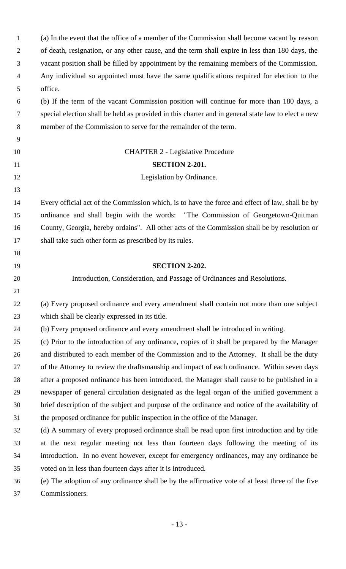(a) In the event that the office of a member of the Commission shall become vacant by reason of death, resignation, or any other cause, and the term shall expire in less than 180 days, the vacant position shall be filled by appointment by the remaining members of the Commission. Any individual so appointed must have the same qualifications required for election to the office. (b) If the term of the vacant Commission position will continue for more than 180 days, a special election shall be held as provided in this charter and in general state law to elect a new member of the Commission to serve for the remainder of the term. CHAPTER 2 - Legislative Procedure **SECTION 2-201.** 12 Legislation by Ordinance. Every official act of the Commission which, is to have the force and effect of law, shall be by ordinance and shall begin with the words: "The Commission of Georgetown-Quitman County, Georgia, hereby ordains". All other acts of the Commission shall be by resolution or shall take such other form as prescribed by its rules. **SECTION 2-202.** Introduction, Consideration, and Passage of Ordinances and Resolutions. (a) Every proposed ordinance and every amendment shall contain not more than one subject which shall be clearly expressed in its title. (b) Every proposed ordinance and every amendment shall be introduced in writing. (c) Prior to the introduction of any ordinance, copies of it shall be prepared by the Manager 26 and distributed to each member of the Commission and to the Attorney. It shall be the duty of the Attorney to review the draftsmanship and impact of each ordinance. Within seven days after a proposed ordinance has been introduced, the Manager shall cause to be published in a newspaper of general circulation designated as the legal organ of the unified government a brief description of the subject and purpose of the ordinance and notice of the availability of the proposed ordinance for public inspection in the office of the Manager. (d) A summary of every proposed ordinance shall be read upon first introduction and by title at the next regular meeting not less than fourteen days following the meeting of its introduction. In no event however, except for emergency ordinances, may any ordinance be voted on in less than fourteen days after it is introduced. (e) The adoption of any ordinance shall be by the affirmative vote of at least three of the five Commissioners.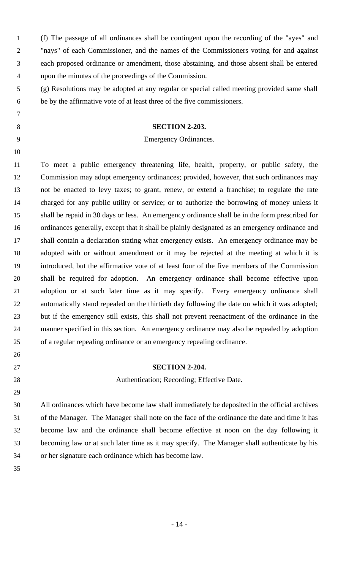|                | (f) The passage of all ordinances shall be contingent upon the recording of the "ayes" and |
|----------------|--------------------------------------------------------------------------------------------|
|                | "nays" of each Commissioner, and the names of the Commissioners voting for and against     |
|                | each proposed ordinance or amendment, those abstaining, and those absent shall be entered  |
| $\overline{4}$ | upon the minutes of the proceedings of the Commission.                                     |

 (g) Resolutions may be adopted at any regular or special called meeting provided same shall be by the affirmative vote of at least three of the five commissioners.

#### **SECTION 2-203.**

#### Emergency Ordinances.

 To meet a public emergency threatening life, health, property, or public safety, the Commission may adopt emergency ordinances; provided, however, that such ordinances may not be enacted to levy taxes; to grant, renew, or extend a franchise; to regulate the rate charged for any public utility or service; or to authorize the borrowing of money unless it shall be repaid in 30 days or less. An emergency ordinance shall be in the form prescribed for ordinances generally, except that it shall be plainly designated as an emergency ordinance and shall contain a declaration stating what emergency exists. An emergency ordinance may be adopted with or without amendment or it may be rejected at the meeting at which it is introduced, but the affirmative vote of at least four of the five members of the Commission shall be required for adoption. An emergency ordinance shall become effective upon adoption or at such later time as it may specify. Every emergency ordinance shall automatically stand repealed on the thirtieth day following the date on which it was adopted; but if the emergency still exists, this shall not prevent reenactment of the ordinance in the manner specified in this section. An emergency ordinance may also be repealed by adoption of a regular repealing ordinance or an emergency repealing ordinance.

- **SECTION 2-204.**
- 

# 28 Authentication; Recording; Effective Date.

 All ordinances which have become law shall immediately be deposited in the official archives of the Manager. The Manager shall note on the face of the ordinance the date and time it has become law and the ordinance shall become effective at noon on the day following it becoming law or at such later time as it may specify. The Manager shall authenticate by his or her signature each ordinance which has become law.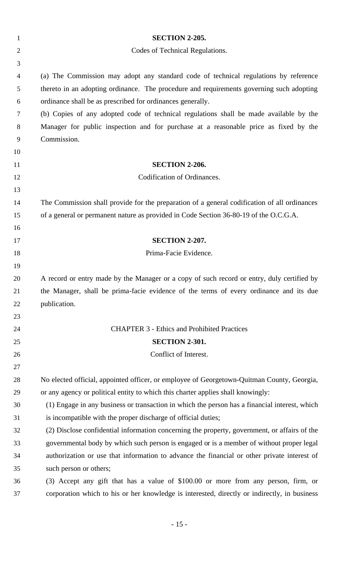| $\mathbf{1}$   | <b>SECTION 2-205.</b>                                                                         |
|----------------|-----------------------------------------------------------------------------------------------|
| $\overline{2}$ | Codes of Technical Regulations.                                                               |
| 3              |                                                                                               |
| $\overline{4}$ | (a) The Commission may adopt any standard code of technical regulations by reference          |
| 5              | thereto in an adopting ordinance. The procedure and requirements governing such adopting      |
| 6              | ordinance shall be as prescribed for ordinances generally.                                    |
| 7              | (b) Copies of any adopted code of technical regulations shall be made available by the        |
| 8              | Manager for public inspection and for purchase at a reasonable price as fixed by the          |
| 9              | Commission.                                                                                   |
| 10             |                                                                                               |
| 11             | <b>SECTION 2-206.</b>                                                                         |
| 12             | Codification of Ordinances.                                                                   |
| 13             |                                                                                               |
| 14             | The Commission shall provide for the preparation of a general codification of all ordinances  |
| 15             | of a general or permanent nature as provided in Code Section 36-80-19 of the O.C.G.A.         |
| 16             |                                                                                               |
| 17             | <b>SECTION 2-207.</b>                                                                         |
| 18             | Prima-Facie Evidence.                                                                         |
| 19             |                                                                                               |
| 20             | A record or entry made by the Manager or a copy of such record or entry, duly certified by    |
| 21             | the Manager, shall be prima-facie evidence of the terms of every ordinance and its due        |
| 22             | publication.                                                                                  |
| 23             |                                                                                               |
| 24             | <b>CHAPTER 3 - Ethics and Prohibited Practices</b>                                            |
| 25             | <b>SECTION 2-301.</b>                                                                         |
| 26             | Conflict of Interest.                                                                         |
| 27             |                                                                                               |
| 28             | No elected official, appointed officer, or employee of Georgetown-Quitman County, Georgia,    |
| 29             | or any agency or political entity to which this charter applies shall knowingly:              |
| 30             | (1) Engage in any business or transaction in which the person has a financial interest, which |
| 31             | is incompatible with the proper discharge of official duties;                                 |
| 32             | (2) Disclose confidential information concerning the property, government, or affairs of the  |
| 33             | governmental body by which such person is engaged or is a member of without proper legal      |
| 34             | authorization or use that information to advance the financial or other private interest of   |
| 35             | such person or others;                                                                        |
| 36             | (3) Accept any gift that has a value of \$100.00 or more from any person, firm, or            |
| 37             | corporation which to his or her knowledge is interested, directly or indirectly, in business  |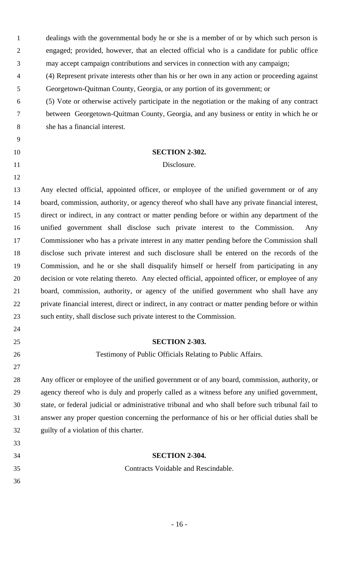dealings with the governmental body he or she is a member of or by which such person is engaged; provided, however, that an elected official who is a candidate for public office may accept campaign contributions and services in connection with any campaign;

 (4) Represent private interests other than his or her own in any action or proceeding against Georgetown-Quitman County, Georgia, or any portion of its government; or

 (5) Vote or otherwise actively participate in the negotiation or the making of any contract between Georgetown-Quitman County, Georgia, and any business or entity in which he or she has a financial interest.

#### **SECTION 2-302.**

#### 11 Disclosure.

 Any elected official, appointed officer, or employee of the unified government or of any board, commission, authority, or agency thereof who shall have any private financial interest, direct or indirect, in any contract or matter pending before or within any department of the unified government shall disclose such private interest to the Commission. Any Commissioner who has a private interest in any matter pending before the Commission shall disclose such private interest and such disclosure shall be entered on the records of the Commission, and he or she shall disqualify himself or herself from participating in any decision or vote relating thereto. Any elected official, appointed officer, or employee of any board, commission, authority, or agency of the unified government who shall have any private financial interest, direct or indirect, in any contract or matter pending before or within such entity, shall disclose such private interest to the Commission.

#### **SECTION 2-303.**

## Testimony of Public Officials Relating to Public Affairs.

 Any officer or employee of the unified government or of any board, commission, authority, or agency thereof who is duly and properly called as a witness before any unified government, state, or federal judicial or administrative tribunal and who shall before such tribunal fail to answer any proper question concerning the performance of his or her official duties shall be guilty of a violation of this charter.

### **SECTION 2-304.**

Contracts Voidable and Rescindable.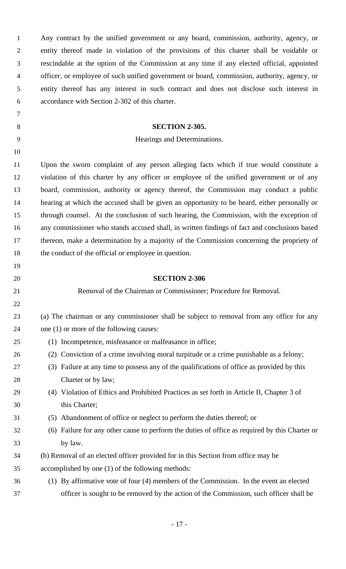| $\mathbf{1}$   | Any contract by the unified government or any board, commission, authority, agency, or         |
|----------------|------------------------------------------------------------------------------------------------|
| $\overline{2}$ | entity thereof made in violation of the provisions of this charter shall be voidable or        |
| 3              | rescindable at the option of the Commission at any time if any elected official, appointed     |
| $\overline{4}$ | officer, or employee of such unified government or board, commission, authority, agency, or    |
| 5              | entity thereof has any interest in such contract and does not disclose such interest in        |
| 6              | accordance with Section 2-302 of this charter.                                                 |
| 7              |                                                                                                |
| 8              | <b>SECTION 2-305.</b>                                                                          |
| 9              | Hearings and Determinations.                                                                   |
| 10             |                                                                                                |
| 11             | Upon the sworn complaint of any person alleging facts which if true would constitute a         |
| 12             | violation of this charter by any officer or employee of the unified government or of any       |
| 13             | board, commission, authority or agency thereof, the Commission may conduct a public            |
| 14             | hearing at which the accused shall be given an opportunity to be heard, either personally or   |
| 15             | through counsel. At the conclusion of such hearing, the Commission, with the exception of      |
| 16             | any commissioner who stands accused shall, in written findings of fact and conclusions based   |
| 17             | thereon, make a determination by a majority of the Commission concerning the propriety of      |
| 18             | the conduct of the official or employee in question.                                           |
| 19             |                                                                                                |
|                |                                                                                                |
| 20             | <b>SECTION 2-306</b>                                                                           |
| 21             | Removal of the Chairman or Commissioner; Procedure for Removal.                                |
| 22             |                                                                                                |
| 23             | (a) The chairman or any commissioner shall be subject to removal from any office for any       |
| 24             | one (1) or more of the following causes:                                                       |
| 25             | (1) Incompetence, misfeasance or malfeasance in office;                                        |
| 26             | (2) Conviction of a crime involving moral turpitude or a crime punishable as a felony;         |
| 27             | (3) Failure at any time to possess any of the qualifications of office as provided by this     |
| 28             | Charter or by law;                                                                             |
| 29             | (4) Violation of Ethics and Prohibited Practices as set forth in Article II, Chapter 3 of      |
| 30             | this Charter;                                                                                  |
| 31             | (5) Abandonment of office or neglect to perform the duties thereof; or                         |
| 32             | (6) Failure for any other cause to perform the duties of office as required by this Charter or |
| 33             | by law.                                                                                        |
| 34             | (b) Removal of an elected officer provided for in this Section from office may be              |
| 35             | accomplished by one (1) of the following methods:                                              |
| 36             | (1) By affirmative vote of four (4) members of the Commission. In the event an elected         |
| 37             | officer is sought to be removed by the action of the Commission, such officer shall be         |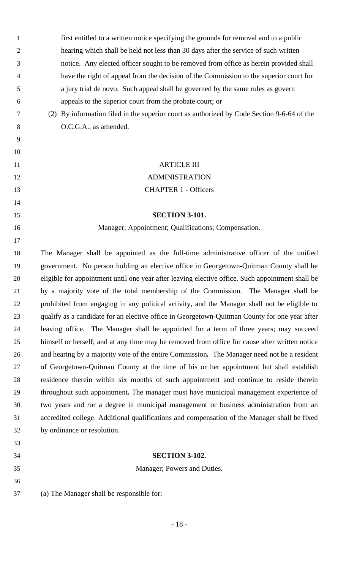| $\mathbf{1}$   | first entitled to a written notice specifying the grounds for removal and to a public            |
|----------------|--------------------------------------------------------------------------------------------------|
| $\overline{2}$ | hearing which shall be held not less than 30 days after the service of such written              |
| 3              | notice. Any elected officer sought to be removed from office as herein provided shall            |
| 4              | have the right of appeal from the decision of the Commission to the superior court for           |
| 5              | a jury trial de novo. Such appeal shall be governed by the same rules as govern                  |
| 6              | appeals to the superior court from the probate court; or                                         |
| 7              | (2) By information filed in the superior court as authorized by Code Section 9-6-64 of the       |
| 8              | O.C.G.A., as amended.                                                                            |
| 9              |                                                                                                  |
| 10             |                                                                                                  |
| 11             | <b>ARTICLE III</b>                                                                               |
| 12             | <b>ADMINISTRATION</b>                                                                            |
| 13             | <b>CHAPTER 1 - Officers</b>                                                                      |
| 14             |                                                                                                  |
| 15             | <b>SECTION 3-101.</b>                                                                            |
| 16             | Manager; Appointment; Qualifications; Compensation.                                              |
| 17             |                                                                                                  |
| 18             | The Manager shall be appointed as the full-time administrative officer of the unified            |
| 19             | government. No person holding an elective office in Georgetown-Quitman County shall be           |
| 20             | eligible for appointment until one year after leaving elective office. Such appointment shall be |
| 21             | by a majority vote of the total membership of the Commission. The Manager shall be               |
| 22             | prohibited from engaging in any political activity, and the Manager shall not be eligible to     |
| 23             | qualify as a candidate for an elective office in Georgetown-Quitman County for one year after    |
| 24             | leaving office. The Manager shall be appointed for a term of three years; may succeed            |
| 25             | himself or herself; and at any time may be removed from office for cause after written notice    |
| 26             | and hearing by a majority vote of the entire Commission. The Manager need not be a resident      |
| 27             | of Georgetown-Quitman County at the time of his or her appointment but shall establish           |
| 28             | residence therein within six months of such appointment and continue to reside therein           |
| 29             | throughout such appointment. The manager must have municipal management experience of            |
| 30             | two years and /or a degree in municipal management or business administration from an            |
| 31             | accredited college. Additional qualifications and compensation of the Manager shall be fixed     |
| 32             | by ordinance or resolution.                                                                      |
| 33             |                                                                                                  |
| 34             | <b>SECTION 3-102.</b>                                                                            |
| 35             | Manager; Powers and Duties.                                                                      |
| 36             |                                                                                                  |
| 37             | (a) The Manager shall be responsible for:                                                        |
|                |                                                                                                  |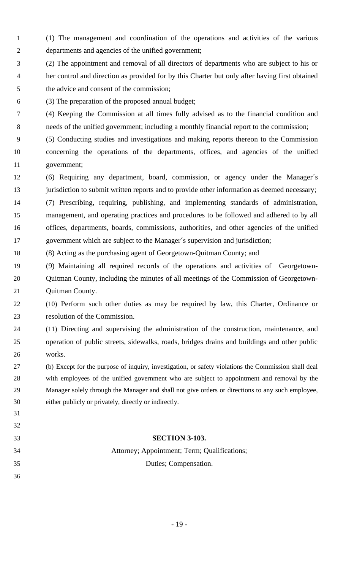- (1) The management and coordination of the operations and activities of the various departments and agencies of the unified government;
- (2) The appointment and removal of all directors of departments who are subject to his or her control and direction as provided for by this Charter but only after having first obtained the advice and consent of the commission;
- (3) The preparation of the proposed annual budget;
- (4) Keeping the Commission at all times fully advised as to the financial condition and needs of the unified government; including a monthly financial report to the commission;
- (5) Conducting studies and investigations and making reports thereon to the Commission concerning the operations of the departments, offices, and agencies of the unified government;
- (6) Requiring any department, board, commission, or agency under the Manager´s jurisdiction to submit written reports and to provide other information as deemed necessary;
- (7) Prescribing, requiring, publishing, and implementing standards of administration, management, and operating practices and procedures to be followed and adhered to by all offices, departments, boards, commissions, authorities, and other agencies of the unified government which are subject to the Manager´s supervision and jurisdiction;
- (8) Acting as the purchasing agent of Georgetown-Quitman County; and
- (9) Maintaining all required records of the operations and activities of Georgetown- Quitman County, including the minutes of all meetings of the Commission of Georgetown-Quitman County.
- (10) Perform such other duties as may be required by law, this Charter, Ordinance or resolution of the Commission.
- (11) Directing and supervising the administration of the construction, maintenance, and operation of public streets, sidewalks, roads, bridges drains and buildings and other public works.
- (b) Except for the purpose of inquiry, investigation, or safety violations the Commission shall deal with employees of the unified government who are subject to appointment and removal by the Manager solely through the Manager and shall not give orders or directions to any such employee, either publicly or privately, directly or indirectly.
- 

#### **SECTION 3-103.**

# Attorney; Appointment; Term; Qualifications; Duties; Compensation.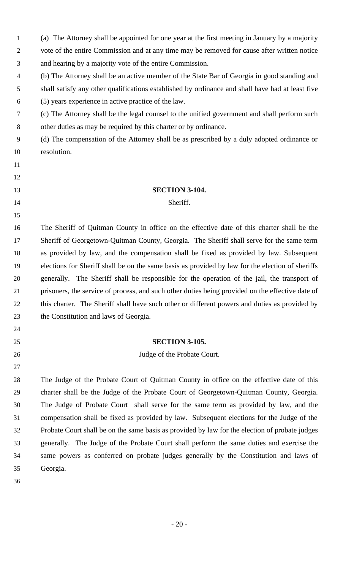(a) The Attorney shall be appointed for one year at the first meeting in January by a majority vote of the entire Commission and at any time may be removed for cause after written notice and hearing by a majority vote of the entire Commission.

- (b) The Attorney shall be an active member of the State Bar of Georgia in good standing and shall satisfy any other qualifications established by ordinance and shall have had at least five (5) years experience in active practice of the law.
- (c) The Attorney shall be the legal counsel to the unified government and shall perform such other duties as may be required by this charter or by ordinance.

 (d) The compensation of the Attorney shall be as prescribed by a duly adopted ordinance or resolution.

# 

**SECTION 3-104.** 

### Sheriff.

 The Sheriff of Quitman County in office on the effective date of this charter shall be the Sheriff of Georgetown-Quitman County, Georgia. The Sheriff shall serve for the same term as provided by law, and the compensation shall be fixed as provided by law. Subsequent elections for Sheriff shall be on the same basis as provided by law for the election of sheriffs generally. The Sheriff shall be responsible for the operation of the jail, the transport of prisoners, the service of process, and such other duties being provided on the effective date of this charter. The Sheriff shall have such other or different powers and duties as provided by the Constitution and laws of Georgia.

## **SECTION 3-105.**

26 Judge of the Probate Court.

 The Judge of the Probate Court of Quitman County in office on the effective date of this charter shall be the Judge of the Probate Court of Georgetown-Quitman County, Georgia. The Judge of Probate Court shall serve for the same term as provided by law, and the compensation shall be fixed as provided by law. Subsequent elections for the Judge of the Probate Court shall be on the same basis as provided by law for the election of probate judges generally. The Judge of the Probate Court shall perform the same duties and exercise the same powers as conferred on probate judges generally by the Constitution and laws of Georgia.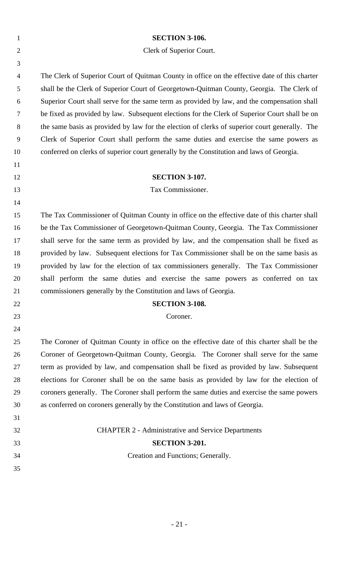| $\mathbf{1}$   | <b>SECTION 3-106.</b>                                                                         |
|----------------|-----------------------------------------------------------------------------------------------|
| $\overline{2}$ | Clerk of Superior Court.                                                                      |
| 3              |                                                                                               |
| $\overline{4}$ | The Clerk of Superior Court of Quitman County in office on the effective date of this charter |
| 5              | shall be the Clerk of Superior Court of Georgetown-Quitman County, Georgia. The Clerk of      |
| 6              | Superior Court shall serve for the same term as provided by law, and the compensation shall   |
| $\tau$         | be fixed as provided by law. Subsequent elections for the Clerk of Superior Court shall be on |
| 8              | the same basis as provided by law for the election of clerks of superior court generally. The |
| 9              | Clerk of Superior Court shall perform the same duties and exercise the same powers as         |
| 10             | conferred on clerks of superior court generally by the Constitution and laws of Georgia.      |
| 11             |                                                                                               |
| 12             | <b>SECTION 3-107.</b>                                                                         |
| 13             | Tax Commissioner.                                                                             |
| 14             |                                                                                               |
| 15             | The Tax Commissioner of Quitman County in office on the effective date of this charter shall  |
| 16             | be the Tax Commissioner of Georgetown-Quitman County, Georgia. The Tax Commissioner           |
| 17             | shall serve for the same term as provided by law, and the compensation shall be fixed as      |
| 18             | provided by law. Subsequent elections for Tax Commissioner shall be on the same basis as      |
| 19             | provided by law for the election of tax commissioners generally. The Tax Commissioner         |
| 20             | shall perform the same duties and exercise the same powers as conferred on tax                |
| 21             | commissioners generally by the Constitution and laws of Georgia.                              |
| 22             | <b>SECTION 3-108.</b>                                                                         |
| 23             | Coroner.                                                                                      |
| 24             |                                                                                               |
| 25             | The Coroner of Quitman County in office on the effective date of this charter shall be the    |
| 26             | Coroner of Georgetown-Quitman County, Georgia. The Coroner shall serve for the same           |
| 27             | term as provided by law, and compensation shall be fixed as provided by law. Subsequent       |
| 28             | elections for Coroner shall be on the same basis as provided by law for the election of       |
| 29             | coroners generally. The Coroner shall perform the same duties and exercise the same powers    |
| 30             | as conferred on coroners generally by the Constitution and laws of Georgia.                   |
| 31             |                                                                                               |
| 32             | <b>CHAPTER 2 - Administrative and Service Departments</b>                                     |
| 33             | <b>SECTION 3-201.</b>                                                                         |
| 34             | Creation and Functions; Generally.                                                            |
| 35             |                                                                                               |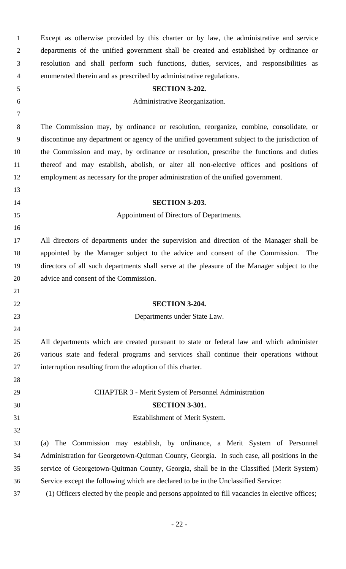Except as otherwise provided by this charter or by law, the administrative and service departments of the unified government shall be created and established by ordinance or resolution and shall perform such functions, duties, services, and responsibilities as enumerated therein and as prescribed by administrative regulations. **SECTION 3-202.**  Administrative Reorganization. The Commission may, by ordinance or resolution, reorganize, combine, consolidate, or discontinue any department or agency of the unified government subject to the jurisdiction of the Commission and may, by ordinance or resolution, prescribe the functions and duties thereof and may establish, abolish, or alter all non-elective offices and positions of employment as necessary for the proper administration of the unified government. **SECTION 3-203.**  Appointment of Directors of Departments. All directors of departments under the supervision and direction of the Manager shall be appointed by the Manager subject to the advice and consent of the Commission. The directors of all such departments shall serve at the pleasure of the Manager subject to the advice and consent of the Commission. **SECTION 3-204.**  Departments under State Law. All departments which are created pursuant to state or federal law and which administer various state and federal programs and services shall continue their operations without interruption resulting from the adoption of this charter. CHAPTER 3 - Merit System of Personnel Administration **SECTION 3-301.**  Establishment of Merit System. (a) The Commission may establish, by ordinance, a Merit System of Personnel Administration for Georgetown-Quitman County, Georgia. In such case, all positions in the service of Georgetown-Quitman County, Georgia, shall be in the Classified (Merit System) Service except the following which are declared to be in the Unclassified Service: (1) Officers elected by the people and persons appointed to fill vacancies in elective offices;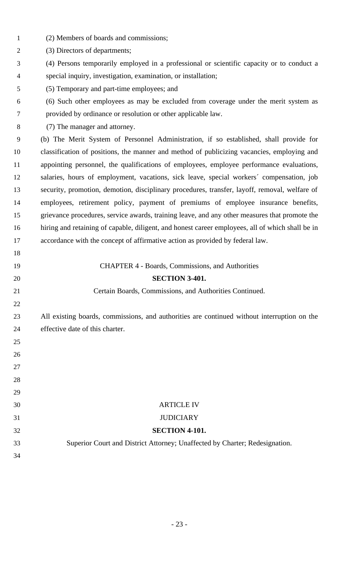| $\mathbf{1}$   | (2) Members of boards and commissions;                                                           |
|----------------|--------------------------------------------------------------------------------------------------|
| $\overline{2}$ | (3) Directors of departments;                                                                    |
| 3              | (4) Persons temporarily employed in a professional or scientific capacity or to conduct a        |
| $\overline{4}$ | special inquiry, investigation, examination, or installation;                                    |
| 5              | (5) Temporary and part-time employees; and                                                       |
| 6              | (6) Such other employees as may be excluded from coverage under the merit system as              |
| $\tau$         | provided by ordinance or resolution or other applicable law.                                     |
| 8              | (7) The manager and attorney.                                                                    |
| 9              | (b) The Merit System of Personnel Administration, if so established, shall provide for           |
| 10             | classification of positions, the manner and method of publicizing vacancies, employing and       |
| 11             | appointing personnel, the qualifications of employees, employee performance evaluations,         |
| 12             | salaries, hours of employment, vacations, sick leave, special workers' compensation, job         |
| 13             | security, promotion, demotion, disciplinary procedures, transfer, layoff, removal, welfare of    |
| 14             | employees, retirement policy, payment of premiums of employee insurance benefits,                |
| 15             | grievance procedures, service awards, training leave, and any other measures that promote the    |
| 16             | hiring and retaining of capable, diligent, and honest career employees, all of which shall be in |
| 17             | accordance with the concept of affirmative action as provided by federal law.                    |
| 18             |                                                                                                  |
| 19             | <b>CHAPTER 4 - Boards, Commissions, and Authorities</b>                                          |
| 20             | <b>SECTION 3-401.</b>                                                                            |
| 21             | Certain Boards, Commissions, and Authorities Continued.                                          |
| 22             |                                                                                                  |
| 23             | All existing boards, commissions, and authorities are continued without interruption on the      |
| 24             | effective date of this charter.                                                                  |
| 25             |                                                                                                  |
| 26             |                                                                                                  |
| 27             |                                                                                                  |
| 28             |                                                                                                  |
| 29             |                                                                                                  |
| 30             | <b>ARTICLE IV</b>                                                                                |
| 31             | <b>JUDICIARY</b>                                                                                 |
| 32             | <b>SECTION 4-101.</b>                                                                            |
| 33             | Superior Court and District Attorney; Unaffected by Charter; Redesignation.                      |
| 34             |                                                                                                  |
|                |                                                                                                  |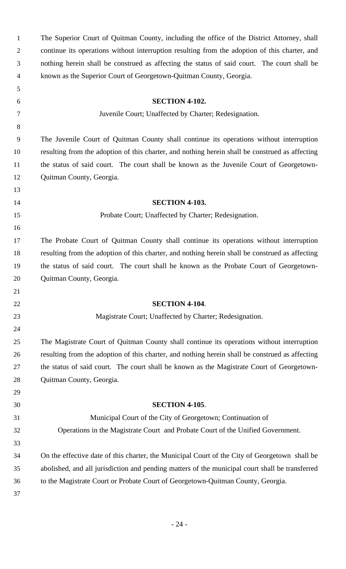| $\mathbf{1}$     | The Superior Court of Quitman County, including the office of the District Attorney, shall      |
|------------------|-------------------------------------------------------------------------------------------------|
| $\overline{2}$   | continue its operations without interruption resulting from the adoption of this charter, and   |
| 3                | nothing herein shall be construed as affecting the status of said court. The court shall be     |
| $\overline{4}$   | known as the Superior Court of Georgetown-Quitman County, Georgia.                              |
| 5                |                                                                                                 |
| 6                | <b>SECTION 4-102.</b>                                                                           |
| 7                | Juvenile Court; Unaffected by Charter; Redesignation.                                           |
| 8                |                                                                                                 |
| $\boldsymbol{9}$ | The Juvenile Court of Quitman County shall continue its operations without interruption         |
| 10               | resulting from the adoption of this charter, and nothing herein shall be construed as affecting |
| 11               | the status of said court. The court shall be known as the Juvenile Court of Georgetown-         |
| 12               | Quitman County, Georgia.                                                                        |
| 13               |                                                                                                 |
| 14               | <b>SECTION 4-103.</b>                                                                           |
| 15               | Probate Court; Unaffected by Charter; Redesignation.                                            |
| 16               |                                                                                                 |
| 17               | The Probate Court of Quitman County shall continue its operations without interruption          |
| 18               | resulting from the adoption of this charter, and nothing herein shall be construed as affecting |
| 19               | the status of said court. The court shall be known as the Probate Court of Georgetown-          |
| 20               | Quitman County, Georgia.                                                                        |
| 21               |                                                                                                 |
| 22               | <b>SECTION 4-104.</b>                                                                           |
| 23               | Magistrate Court; Unaffected by Charter; Redesignation.                                         |
| 24               |                                                                                                 |
| 25               | The Magistrate Court of Quitman County shall continue its operations without interruption       |
| 26               | resulting from the adoption of this charter, and nothing herein shall be construed as affecting |
| 27               | the status of said court. The court shall be known as the Magistrate Court of Georgetown-       |
| 28               | Quitman County, Georgia.                                                                        |
| 29               |                                                                                                 |
| 30               | <b>SECTION 4-105.</b>                                                                           |
| 31               | Municipal Court of the City of Georgetown; Continuation of                                      |
| 32               | Operations in the Magistrate Court and Probate Court of the Unified Government.                 |
| 33               |                                                                                                 |
| 34               | On the effective date of this charter, the Municipal Court of the City of Georgetown shall be   |
| 35               | abolished, and all jurisdiction and pending matters of the municipal court shall be transferred |
| 36               | to the Magistrate Court or Probate Court of Georgetown-Quitman County, Georgia.                 |
| 37               |                                                                                                 |
|                  |                                                                                                 |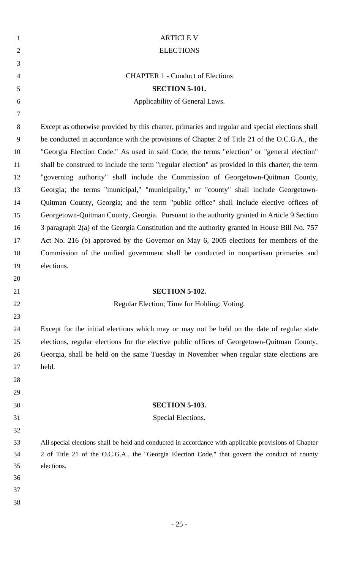| $\mathbf{1}$   | <b>ARTICLE V</b>                                                                                      |
|----------------|-------------------------------------------------------------------------------------------------------|
| $\overline{2}$ | <b>ELECTIONS</b>                                                                                      |
| 3              |                                                                                                       |
| $\overline{4}$ | <b>CHAPTER 1 - Conduct of Elections</b>                                                               |
| 5              | <b>SECTION 5-101.</b>                                                                                 |
| 6              | Applicability of General Laws.                                                                        |
| 7              |                                                                                                       |
| 8              | Except as otherwise provided by this charter, primaries and regular and special elections shall       |
| 9              | be conducted in accordance with the provisions of Chapter 2 of Title 21 of the O.C.G.A., the          |
| 10             | "Georgia Election Code." As used in said Code, the terms "election" or "general election"             |
| 11             | shall be construed to include the term "regular election" as provided in this charter; the term       |
| 12             | "governing authority" shall include the Commission of Georgetown-Quitman County,                      |
| 13             | Georgia; the terms "municipal," "municipality," or "county" shall include Georgetown-                 |
| 14             | Quitman County, Georgia; and the term "public office" shall include elective offices of               |
| 15             | Georgetown-Quitman County, Georgia. Pursuant to the authority granted in Article 9 Section            |
| 16             | 3 paragraph 2(a) of the Georgia Constitution and the authority granted in House Bill No. 757          |
| 17             | Act No. 216 (b) approved by the Governor on May 6, 2005 elections for members of the                  |
| 18             | Commission of the unified government shall be conducted in nonpartisan primaries and                  |
| 19             | elections.                                                                                            |
| 20             |                                                                                                       |
| 21             | <b>SECTION 5-102.</b>                                                                                 |
| 22             | Regular Election; Time for Holding; Voting.                                                           |
| 23             |                                                                                                       |
| 24             | Except for the initial elections which may or may not be held on the date of regular state            |
| 25             | elections, regular elections for the elective public offices of Georgetown-Quitman County,            |
| 26             | Georgia, shall be held on the same Tuesday in November when regular state elections are               |
| $27\,$         | held.                                                                                                 |
| 28             |                                                                                                       |
| 29             |                                                                                                       |
| 30             | <b>SECTION 5-103.</b>                                                                                 |
| 31             | Special Elections.                                                                                    |
| 32             |                                                                                                       |
| 33             | All special elections shall be held and conducted in accordance with applicable provisions of Chapter |
| 34             | 2 of Title 21 of the O.C.G.A., the "Georgia Election Code," that govern the conduct of county         |
| 35             | elections.                                                                                            |
| 36             |                                                                                                       |
| 37             |                                                                                                       |
|                |                                                                                                       |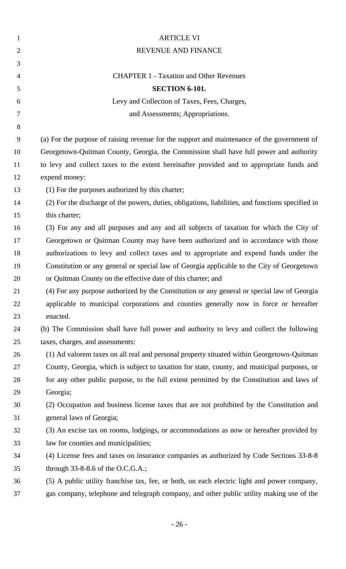| $\mathbf{1}$   | <b>ARTICLE VI</b>                                                                                 |
|----------------|---------------------------------------------------------------------------------------------------|
| $\overline{2}$ | REVENUE AND FINANCE                                                                               |
| 3              |                                                                                                   |
| 4              | <b>CHAPTER 1 - Taxation and Other Revenues</b>                                                    |
| 5              | <b>SECTION 6-101.</b>                                                                             |
| 6              | Levy and Collection of Taxes, Fees, Charges,                                                      |
| 7              | and Assessments; Appropriations.                                                                  |
| 8              |                                                                                                   |
| 9              | (a) For the purpose of raising revenue for the support and maintenance of the government of       |
| 10             | Georgetown-Quitman County, Georgia, the Commission shall have full power and authority            |
| 11             | to levy and collect taxes to the extent hereinafter provided and to appropriate funds and         |
| 12             | expend money:                                                                                     |
| 13             | (1) For the purposes authorized by this charter;                                                  |
| 14             | (2) For the discharge of the powers, duties, obligations, liabilities, and functions specified in |
| 15             | this charter;                                                                                     |
| 16             | (3) For any and all purposes and any and all subjects of taxation for which the City of           |
| 17             | Georgetown or Quitman County may have been authorized and in accordance with those                |
| 18             | authorizations to levy and collect taxes and to appropriate and expend funds under the            |
| 19             | Constitution or any general or special law of Georgia applicable to the City of Georgetown        |
| 20             | or Quitman County on the effective date of this charter; and                                      |
| 21             | (4) For any purpose authorized by the Constitution or any general or special law of Georgia       |
| 22             | applicable to municipal corporations and counties generally now in force or hereafter             |
| 23             | enacted.                                                                                          |
| 24             | (b) The Commission shall have full power and authority to levy and collect the following          |
| 25             | taxes, charges, and assessments:                                                                  |
| 26             | (1) Ad valorem taxes on all real and personal property situated within Georgetown-Quitman         |
| 27             | County, Georgia, which is subject to taxation for state, county, and municipal purposes, or       |
| 28             | for any other public purpose, to the full extent permitted by the Constitution and laws of        |
| 29             | Georgia;                                                                                          |
| 30             | (2) Occupation and business license taxes that are not prohibited by the Constitution and         |
| 31             | general laws of Georgia;                                                                          |
| 32             | (3) An excise tax on rooms, lodgings, or accommodations as now or hereafter provided by           |
| 33             | law for counties and municipalities;                                                              |
| 34             | (4) License fees and taxes on insurance companies as authorized by Code Sections 33-8-8           |
| 35             | through $33-8-8.6$ of the O.C.G.A.;                                                               |
| 36             | (5) A public utility franchise tax, fee, or both, on each electric light and power company,       |
| 37             | gas company, telephone and telegraph company, and other public utility making use of the          |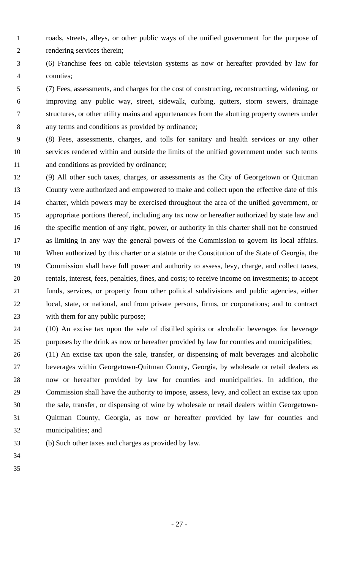- roads, streets, alleys, or other public ways of the unified government for the purpose of rendering services therein;
- (6) Franchise fees on cable television systems as now or hereafter provided by law for counties;
- (7) Fees, assessments, and charges for the cost of constructing, reconstructing, widening, or improving any public way, street, sidewalk, curbing, gutters, storm sewers, drainage structures, or other utility mains and appurtenances from the abutting property owners under any terms and conditions as provided by ordinance;
- (8) Fees, assessments, charges, and tolls for sanitary and health services or any other services rendered within and outside the limits of the unified government under such terms 11 and conditions as provided by ordinance;
- (9) All other such taxes, charges, or assessments as the City of Georgetown or Quitman County were authorized and empowered to make and collect upon the effective date of this charter, which powers may be exercised throughout the area of the unified government, or appropriate portions thereof, including any tax now or hereafter authorized by state law and 16 the specific mention of any right, power, or authority in this charter shall not be construed as limiting in any way the general powers of the Commission to govern its local affairs. When authorized by this charter or a statute or the Constitution of the State of Georgia, the Commission shall have full power and authority to assess, levy, charge, and collect taxes, rentals, interest, fees, penalties, fines, and costs; to receive income on investments; to accept funds, services, or property from other political subdivisions and public agencies, either local, state, or national, and from private persons, firms, or corporations; and to contract 23 with them for any public purpose;
- (10) An excise tax upon the sale of distilled spirits or alcoholic beverages for beverage purposes by the drink as now or hereafter provided by law for counties and municipalities;
- (11) An excise tax upon the sale, transfer, or dispensing of malt beverages and alcoholic beverages within Georgetown-Quitman County, Georgia, by wholesale or retail dealers as now or hereafter provided by law for counties and municipalities. In addition, the Commission shall have the authority to impose, assess, levy, and collect an excise tax upon the sale, transfer, or dispensing of wine by wholesale or retail dealers within Georgetown- Quitman County, Georgia, as now or hereafter provided by law for counties and municipalities; and
- (b) Such other taxes and charges as provided by law.
-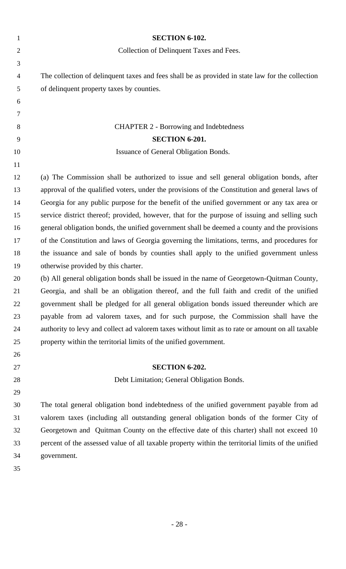| $\mathbf{1}$   | <b>SECTION 6-102.</b>                                                                              |
|----------------|----------------------------------------------------------------------------------------------------|
| $\overline{2}$ | Collection of Delinquent Taxes and Fees.                                                           |
| $\mathfrak{Z}$ |                                                                                                    |
| $\overline{4}$ | The collection of delinquent taxes and fees shall be as provided in state law for the collection   |
| 5              | of delinquent property taxes by counties.                                                          |
| 6              |                                                                                                    |
| $\tau$         |                                                                                                    |
| 8              | <b>CHAPTER 2 - Borrowing and Indebtedness</b>                                                      |
| 9              | <b>SECTION 6-201.</b>                                                                              |
| 10             | Issuance of General Obligation Bonds.                                                              |
| 11             |                                                                                                    |
| 12             | (a) The Commission shall be authorized to issue and sell general obligation bonds, after           |
| 13             | approval of the qualified voters, under the provisions of the Constitution and general laws of     |
| 14             | Georgia for any public purpose for the benefit of the unified government or any tax area or        |
| 15             | service district thereof; provided, however, that for the purpose of issuing and selling such      |
| 16             | general obligation bonds, the unified government shall be deemed a county and the provisions       |
| 17             | of the Constitution and laws of Georgia governing the limitations, terms, and procedures for       |
| 18             | the issuance and sale of bonds by counties shall apply to the unified government unless            |
| 19             | otherwise provided by this charter.                                                                |
| 20             | (b) All general obligation bonds shall be issued in the name of Georgetown-Quitman County,         |
| 21             | Georgia, and shall be an obligation thereof, and the full faith and credit of the unified          |
| 22             | government shall be pledged for all general obligation bonds issued thereunder which are           |
| 23             | payable from ad valorem taxes, and for such purpose, the Commission shall have the                 |
| 24             | authority to levy and collect ad valorem taxes without limit as to rate or amount on all taxable   |
| 25             | property within the territorial limits of the unified government.                                  |
| 26             |                                                                                                    |
| 27             | SECTION 6-202.                                                                                     |
| 28             | Debt Limitation; General Obligation Bonds.                                                         |
| 29             |                                                                                                    |
| 30             | The total general obligation bond indebtedness of the unified government payable from ad           |
| 31             | valorem taxes (including all outstanding general obligation bonds of the former City of            |
| 32             | Georgetown and Quitman County on the effective date of this charter) shall not exceed 10           |
| 33             | percent of the assessed value of all taxable property within the territorial limits of the unified |
| 34             | government.                                                                                        |
| 35             |                                                                                                    |
|                |                                                                                                    |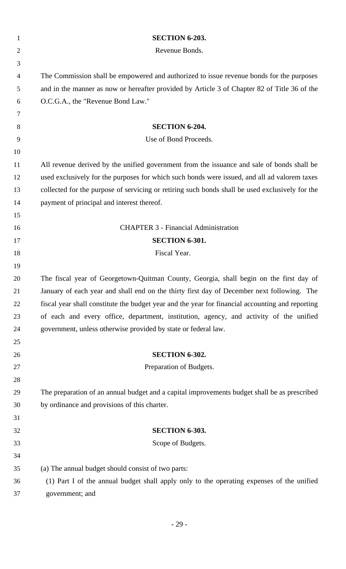| $\mathbf{1}$   | <b>SECTION 6-203.</b>                                                                            |
|----------------|--------------------------------------------------------------------------------------------------|
| $\overline{2}$ | Revenue Bonds.                                                                                   |
| 3              |                                                                                                  |
| 4              | The Commission shall be empowered and authorized to issue revenue bonds for the purposes         |
| 5              | and in the manner as now or hereafter provided by Article 3 of Chapter 82 of Title 36 of the     |
| 6              | O.C.G.A., the "Revenue Bond Law."                                                                |
| 7              |                                                                                                  |
| 8              | <b>SECTION 6-204.</b>                                                                            |
| 9              | Use of Bond Proceeds.                                                                            |
| 10             |                                                                                                  |
| 11             | All revenue derived by the unified government from the issuance and sale of bonds shall be       |
| 12             | used exclusively for the purposes for which such bonds were issued, and all ad valorem taxes     |
| 13             | collected for the purpose of servicing or retiring such bonds shall be used exclusively for the  |
| 14             | payment of principal and interest thereof.                                                       |
| 15             |                                                                                                  |
| 16             | <b>CHAPTER 3 - Financial Administration</b>                                                      |
| 17             | <b>SECTION 6-301.</b>                                                                            |
| 18             | Fiscal Year.                                                                                     |
| 19             |                                                                                                  |
| 20             | The fiscal year of Georgetown-Quitman County, Georgia, shall begin on the first day of           |
| 21             | January of each year and shall end on the thirty first day of December next following. The       |
| 22             | fiscal year shall constitute the budget year and the year for financial accounting and reporting |
| 23             | of each and every office, department, institution, agency, and activity of the unified           |
| 24             | government, unless otherwise provided by state or federal law.                                   |
| 25             |                                                                                                  |
| 26             | <b>SECTION 6-302.</b>                                                                            |
| 27             | Preparation of Budgets.                                                                          |
| 28             |                                                                                                  |
| 29             | The preparation of an annual budget and a capital improvements budget shall be as prescribed     |
| 30             | by ordinance and provisions of this charter.                                                     |
| 31             |                                                                                                  |
| 32             | <b>SECTION 6-303.</b>                                                                            |
| 33             | Scope of Budgets.                                                                                |
| 34             |                                                                                                  |
| 35             | (a) The annual budget should consist of two parts:                                               |
| 36             | (1) Part I of the annual budget shall apply only to the operating expenses of the unified        |
| 37             | government; and                                                                                  |
|                |                                                                                                  |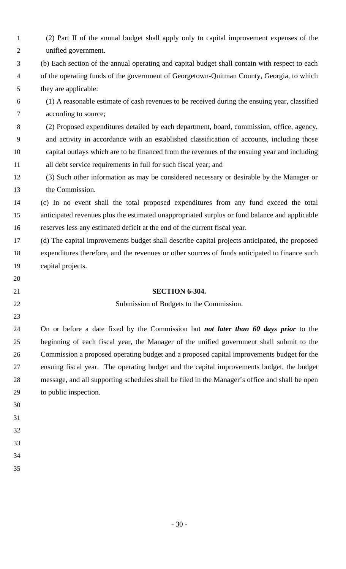| $\mathbf{1}$   | (2) Part II of the annual budget shall apply only to capital improvement expenses of the       |
|----------------|------------------------------------------------------------------------------------------------|
| $\overline{2}$ | unified government.                                                                            |
| 3              | (b) Each section of the annual operating and capital budget shall contain with respect to each |
| $\overline{4}$ | of the operating funds of the government of Georgetown-Quitman County, Georgia, to which       |
| 5              | they are applicable:                                                                           |
| 6              | (1) A reasonable estimate of cash revenues to be received during the ensuing year, classified  |
| 7              | according to source;                                                                           |
| 8              | (2) Proposed expenditures detailed by each department, board, commission, office, agency,      |
| 9              | and activity in accordance with an established classification of accounts, including those     |
| 10             | capital outlays which are to be financed from the revenues of the ensuing year and including   |
| 11             | all debt service requirements in full for such fiscal year; and                                |
| 12             | (3) Such other information as may be considered necessary or desirable by the Manager or       |
| 13             | the Commission.                                                                                |
| 14             | (c) In no event shall the total proposed expenditures from any fund exceed the total           |
| 15             | anticipated revenues plus the estimated unappropriated surplus or fund balance and applicable  |
| 16             | reserves less any estimated deficit at the end of the current fiscal year.                     |
| 17             | (d) The capital improvements budget shall describe capital projects anticipated, the proposed  |
| 18             | expenditures therefore, and the revenues or other sources of funds anticipated to finance such |
| 19             | capital projects.                                                                              |
| 20             |                                                                                                |
| 21             | <b>SECTION 6-304.</b>                                                                          |
| 22             | Submission of Budgets to the Commission.                                                       |
| 23             |                                                                                                |
| 24             | On or before a date fixed by the Commission but not later than 60 days prior to the            |
| 25             | beginning of each fiscal year, the Manager of the unified government shall submit to the       |
| 26             | Commission a proposed operating budget and a proposed capital improvements budget for the      |
| 27             | ensuing fiscal year. The operating budget and the capital improvements budget, the budget      |
| 28             | message, and all supporting schedules shall be filed in the Manager's office and shall be open |
| 29             | to public inspection.                                                                          |
| 30             |                                                                                                |
| 31             |                                                                                                |
| 32             |                                                                                                |
| 33             |                                                                                                |
| 34             |                                                                                                |
| 35             |                                                                                                |

- 30 -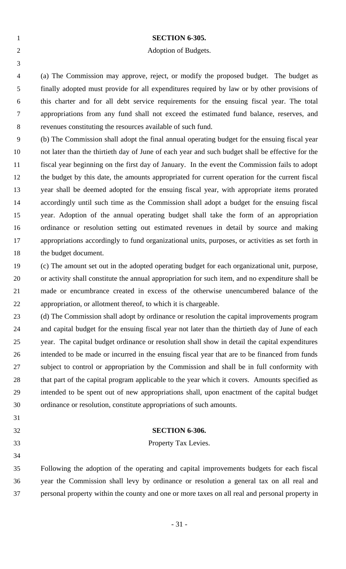|                | <b>SECTION 6-305.</b>                                                                       |
|----------------|---------------------------------------------------------------------------------------------|
| 2              | Adoption of Budgets.                                                                        |
|                |                                                                                             |
| $\overline{4}$ | (a) The Commission may approve, reject, or modify the proposed budget. The budget as        |
| 5              | finally adopted must provide for all expenditures required by law or by other provisions of |
| -6             | this charter and for all debt service requirements for the ensuing fiscal year. The total   |

appropriations from any fund shall not exceed the estimated fund balance, reserves, and

revenues constituting the resources available of such fund.

 (b) The Commission shall adopt the final annual operating budget for the ensuing fiscal year not later than the thirtieth day of June of each year and such budget shall be effective for the fiscal year beginning on the first day of January. In the event the Commission fails to adopt the budget by this date, the amounts appropriated for current operation for the current fiscal year shall be deemed adopted for the ensuing fiscal year, with appropriate items prorated accordingly until such time as the Commission shall adopt a budget for the ensuing fiscal year. Adoption of the annual operating budget shall take the form of an appropriation ordinance or resolution setting out estimated revenues in detail by source and making appropriations accordingly to fund organizational units, purposes, or activities as set forth in 18 the budget document.

- (c) The amount set out in the adopted operating budget for each organizational unit, purpose, or activity shall constitute the annual appropriation for such item, and no expenditure shall be made or encumbrance created in excess of the otherwise unencumbered balance of the appropriation, or allotment thereof, to which it is chargeable.
- (d) The Commission shall adopt by ordinance or resolution the capital improvements program and capital budget for the ensuing fiscal year not later than the thirtieth day of June of each year. The capital budget ordinance or resolution shall show in detail the capital expenditures intended to be made or incurred in the ensuing fiscal year that are to be financed from funds subject to control or appropriation by the Commission and shall be in full conformity with 28 that part of the capital program applicable to the year which it covers. Amounts specified as intended to be spent out of new appropriations shall, upon enactment of the capital budget ordinance or resolution, constitute appropriations of such amounts.
- 
- **SECTION 6-306.**

Property Tax Levies.

 Following the adoption of the operating and capital improvements budgets for each fiscal year the Commission shall levy by ordinance or resolution a general tax on all real and personal property within the county and one or more taxes on all real and personal property in

- 31 -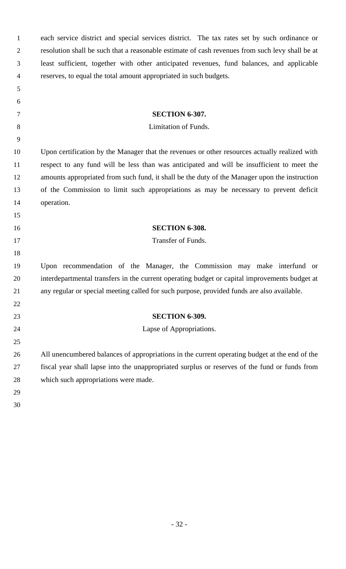| $\mathbf{1}$   | each service district and special services district. The tax rates set by such ordinance or     |
|----------------|-------------------------------------------------------------------------------------------------|
| $\overline{2}$ | resolution shall be such that a reasonable estimate of cash revenues from such levy shall be at |
| 3              | least sufficient, together with other anticipated revenues, fund balances, and applicable       |
| $\overline{4}$ | reserves, to equal the total amount appropriated in such budgets.                               |
| 5              |                                                                                                 |
| 6              |                                                                                                 |
| 7              | <b>SECTION 6-307.</b>                                                                           |
| 8              | Limitation of Funds.                                                                            |
| 9              |                                                                                                 |
| 10             | Upon certification by the Manager that the revenues or other resources actually realized with   |
| 11             | respect to any fund will be less than was anticipated and will be insufficient to meet the      |
| 12             | amounts appropriated from such fund, it shall be the duty of the Manager upon the instruction   |
| 13             | of the Commission to limit such appropriations as may be necessary to prevent deficit           |
| 14             | operation.                                                                                      |
| 15             |                                                                                                 |
| 16             | <b>SECTION 6-308.</b>                                                                           |
| 17             | Transfer of Funds.                                                                              |
| 18             |                                                                                                 |
| 19             | Upon recommendation of the Manager, the Commission may make interfund or                        |
| 20             | interdepartmental transfers in the current operating budget or capital improvements budget at   |
| 21             | any regular or special meeting called for such purpose, provided funds are also available.      |
| 22             |                                                                                                 |
| 23             | <b>SECTION 6-309.</b>                                                                           |
| 24             | Lapse of Appropriations.                                                                        |
| 25             |                                                                                                 |
| 26             | All unencumbered balances of appropriations in the current operating budget at the end of the   |
| 27             | fiscal year shall lapse into the unappropriated surplus or reserves of the fund or funds from   |
| 28             | which such appropriations were made.                                                            |
| 29             |                                                                                                 |
| 30             |                                                                                                 |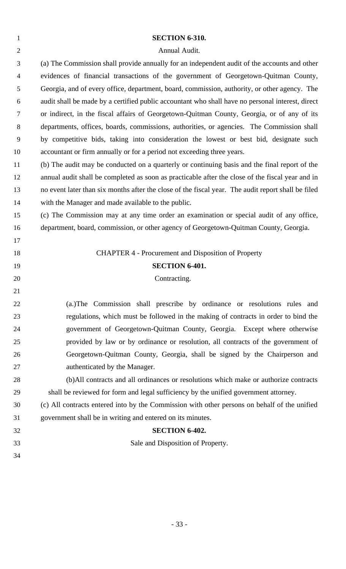| $\mathbf{1}$   | <b>SECTION 6-310.</b>                                                                              |
|----------------|----------------------------------------------------------------------------------------------------|
| $\overline{2}$ | Annual Audit.                                                                                      |
| 3              | (a) The Commission shall provide annually for an independent audit of the accounts and other       |
| 4              | evidences of financial transactions of the government of Georgetown-Quitman County,                |
| 5              | Georgia, and of every office, department, board, commission, authority, or other agency. The       |
| 6              | audit shall be made by a certified public accountant who shall have no personal interest, direct   |
| 7              | or indirect, in the fiscal affairs of Georgetown-Quitman County, Georgia, or of any of its         |
| 8              | departments, offices, boards, commissions, authorities, or agencies. The Commission shall          |
| 9              | by competitive bids, taking into consideration the lowest or best bid, designate such              |
| 10             | accountant or firm annually or for a period not exceeding three years.                             |
| 11             | (b) The audit may be conducted on a quarterly or continuing basis and the final report of the      |
| 12             | annual audit shall be completed as soon as practicable after the close of the fiscal year and in   |
| 13             | no event later than six months after the close of the fiscal year. The audit report shall be filed |
| 14             | with the Manager and made available to the public.                                                 |
| 15             | (c) The Commission may at any time order an examination or special audit of any office,            |
| 16             | department, board, commission, or other agency of Georgetown-Quitman County, Georgia.              |
| 17             |                                                                                                    |
| 18             | <b>CHAPTER 4 - Procurement and Disposition of Property</b>                                         |
| 19             | <b>SECTION 6-401.</b>                                                                              |
| 20             | Contracting.                                                                                       |
| 21             |                                                                                                    |
| 22             | (a.) The Commission shall prescribe by ordinance or resolutions rules and                          |
| 23             | regulations, which must be followed in the making of contracts in order to bind the                |
| 24             | government of Georgetown-Quitman County, Georgia. Except where otherwise                           |
| 25             | provided by law or by ordinance or resolution, all contracts of the government of                  |
| 26             | Georgetown-Quitman County, Georgia, shall be signed by the Chairperson and                         |
| 27             | authenticated by the Manager.                                                                      |
| 28             | (b)All contracts and all ordinances or resolutions which make or authorize contracts               |
| 29             | shall be reviewed for form and legal sufficiency by the unified government attorney.               |
| 30             | (c) All contracts entered into by the Commission with other persons on behalf of the unified       |
| 31             | government shall be in writing and entered on its minutes.                                         |
| 32             | <b>SECTION 6-402.</b>                                                                              |
| 33             | Sale and Disposition of Property.                                                                  |
| 34             |                                                                                                    |
|                |                                                                                                    |

- 33 -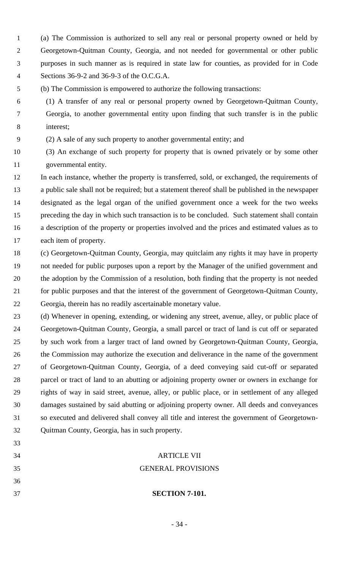- (a) The Commission is authorized to sell any real or personal property owned or held by Georgetown-Quitman County, Georgia, and not needed for governmental or other public purposes in such manner as is required in state law for counties, as provided for in Code Sections 36-9-2 and 36-9-3 of the O.C.G.A.
- (b) The Commission is empowered to authorize the following transactions:
- (1) A transfer of any real or personal property owned by Georgetown-Quitman County, Georgia, to another governmental entity upon finding that such transfer is in the public interest;
- (2) A sale of any such property to another governmental entity; and
- (3) An exchange of such property for property that is owned privately or by some other

governmental entity.

 In each instance, whether the property is transferred, sold, or exchanged, the requirements of a public sale shall not be required; but a statement thereof shall be published in the newspaper designated as the legal organ of the unified government once a week for the two weeks preceding the day in which such transaction is to be concluded. Such statement shall contain a description of the property or properties involved and the prices and estimated values as to each item of property.

- (c) Georgetown-Quitman County, Georgia, may quitclaim any rights it may have in property not needed for public purposes upon a report by the Manager of the unified government and the adoption by the Commission of a resolution, both finding that the property is not needed for public purposes and that the interest of the government of Georgetown-Quitman County, Georgia, therein has no readily ascertainable monetary value.
- (d) Whenever in opening, extending, or widening any street, avenue, alley, or public place of Georgetown-Quitman County, Georgia, a small parcel or tract of land is cut off or separated by such work from a larger tract of land owned by Georgetown-Quitman County, Georgia, the Commission may authorize the execution and deliverance in the name of the government of Georgetown-Quitman County, Georgia, of a deed conveying said cut-off or separated parcel or tract of land to an abutting or adjoining property owner or owners in exchange for rights of way in said street, avenue, alley, or public place, or in settlement of any alleged damages sustained by said abutting or adjoining property owner. All deeds and conveyances so executed and delivered shall convey all title and interest the government of Georgetown-Quitman County, Georgia, has in such property.
- 
- ARTICLE VII
- GENERAL PROVISIONS
- 
- 
- **SECTION 7-101.**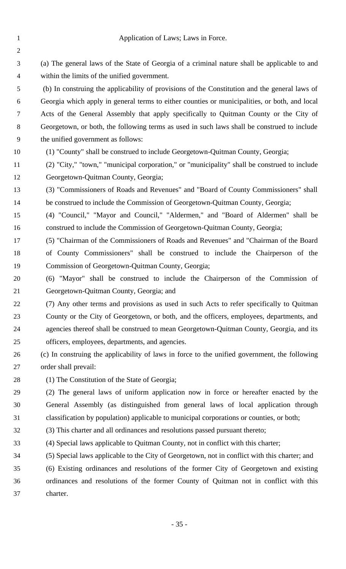Application of Laws; Laws in Force. (a) The general laws of the State of Georgia of a criminal nature shall be applicable to and within the limits of the unified government. (b) In construing the applicability of provisions of the Constitution and the general laws of Georgia which apply in general terms to either counties or municipalities, or both, and local Acts of the General Assembly that apply specifically to Quitman County or the City of Georgetown, or both, the following terms as used in such laws shall be construed to include the unified government as follows: (1) "County" shall be construed to include Georgetown-Quitman County, Georgia; (2) "City," "town," "municipal corporation," or "municipality" shall be construed to include Georgetown-Quitman County, Georgia; (3) "Commissioners of Roads and Revenues" and "Board of County Commissioners" shall be construed to include the Commission of Georgetown-Quitman County, Georgia; (4) "Council," "Mayor and Council," "Aldermen," and "Board of Aldermen" shall be construed to include the Commission of Georgetown-Quitman County, Georgia; (5) "Chairman of the Commissioners of Roads and Revenues" and "Chairman of the Board of County Commissioners" shall be construed to include the Chairperson of the Commission of Georgetown-Quitman County, Georgia; (6) "Mayor" shall be construed to include the Chairperson of the Commission of Georgetown-Quitman County, Georgia; and (7) Any other terms and provisions as used in such Acts to refer specifically to Quitman County or the City of Georgetown, or both, and the officers, employees, departments, and agencies thereof shall be construed to mean Georgetown-Quitman County, Georgia, and its officers, employees, departments, and agencies. (c) In construing the applicability of laws in force to the unified government, the following order shall prevail: (1) The Constitution of the State of Georgia; (2) The general laws of uniform application now in force or hereafter enacted by the General Assembly (as distinguished from general laws of local application through classification by population) applicable to municipal corporations or counties, or both; (3) This charter and all ordinances and resolutions passed pursuant thereto; (4) Special laws applicable to Quitman County, not in conflict with this charter; (5) Special laws applicable to the City of Georgetown, not in conflict with this charter; and (6) Existing ordinances and resolutions of the former City of Georgetown and existing ordinances and resolutions of the former County of Quitman not in conflict with this charter.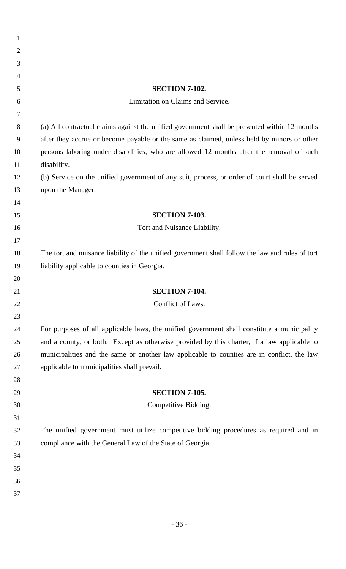| 1              |                                                                                                  |
|----------------|--------------------------------------------------------------------------------------------------|
| $\overline{2}$ |                                                                                                  |
| 3              |                                                                                                  |
| 4              |                                                                                                  |
| 5              | <b>SECTION 7-102.</b>                                                                            |
| 6              | Limitation on Claims and Service.                                                                |
| 7              |                                                                                                  |
| 8              | (a) All contractual claims against the unified government shall be presented within 12 months    |
| 9              | after they accrue or become payable or the same as claimed, unless held by minors or other       |
| 10             | persons laboring under disabilities, who are allowed 12 months after the removal of such         |
| 11             | disability.                                                                                      |
| 12             | (b) Service on the unified government of any suit, process, or order of court shall be served    |
| 13             | upon the Manager.                                                                                |
| 14             |                                                                                                  |
| 15             | <b>SECTION 7-103.</b>                                                                            |
| 16             | Tort and Nuisance Liability.                                                                     |
| 17             |                                                                                                  |
| 18             | The tort and nuisance liability of the unified government shall follow the law and rules of tort |
| 19             | liability applicable to counties in Georgia.                                                     |
| 20             |                                                                                                  |
| 21             | <b>SECTION 7-104.</b>                                                                            |
| 22             | Conflict of Laws.                                                                                |
| 23             |                                                                                                  |
| 24             | For purposes of all applicable laws, the unified government shall constitute a municipality      |
| 25             | and a county, or both. Except as otherwise provided by this charter, if a law applicable to      |
| 26             | municipalities and the same or another law applicable to counties are in conflict, the law       |
| 27             | applicable to municipalities shall prevail.                                                      |
| 28             |                                                                                                  |
| 29             | <b>SECTION 7-105.</b>                                                                            |
| 30             | Competitive Bidding.                                                                             |
| 31             |                                                                                                  |
| 32             | The unified government must utilize competitive bidding procedures as required and in            |
| 33             | compliance with the General Law of the State of Georgia.                                         |
| 34             |                                                                                                  |
| 35             |                                                                                                  |
| 36             |                                                                                                  |
| 37             |                                                                                                  |
|                |                                                                                                  |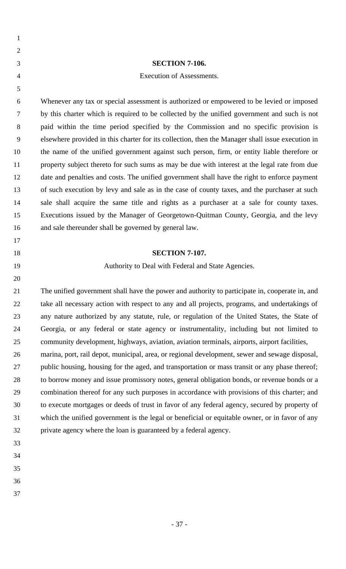- 
- 
- 
- 

#### **SECTION 7-106.**

#### Execution of Assessments.

 Whenever any tax or special assessment is authorized or empowered to be levied or imposed by this charter which is required to be collected by the unified government and such is not paid within the time period specified by the Commission and no specific provision is elsewhere provided in this charter for its collection, then the Manager shall issue execution in the name of the unified government against such person, firm, or entity liable therefore or property subject thereto for such sums as may be due with interest at the legal rate from due date and penalties and costs. The unified government shall have the right to enforce payment of such execution by levy and sale as in the case of county taxes, and the purchaser at such sale shall acquire the same title and rights as a purchaser at a sale for county taxes. Executions issued by the Manager of Georgetown-Quitman County, Georgia, and the levy and sale thereunder shall be governed by general law.

#### **SECTION 7-107.**

#### Authority to Deal with Federal and State Agencies.

 The unified government shall have the power and authority to participate in, cooperate in, and take all necessary action with respect to any and all projects, programs, and undertakings of any nature authorized by any statute, rule, or regulation of the United States, the State of Georgia, or any federal or state agency or instrumentality, including but not limited to community development, highways, aviation, aviation terminals, airports, airport facilities,

 marina, port, rail depot, municipal, area, or regional development, sewer and sewage disposal, public housing, housing for the aged, and transportation or mass transit or any phase thereof; to borrow money and issue promissory notes, general obligation bonds, or revenue bonds or a combination thereof for any such purposes in accordance with provisions of this charter; and to execute mortgages or deeds of trust in favor of any federal agency, secured by property of which the unified government is the legal or beneficial or equitable owner, or in favor of any private agency where the loan is guaranteed by a federal agency.

- 
- 
- 
- 
-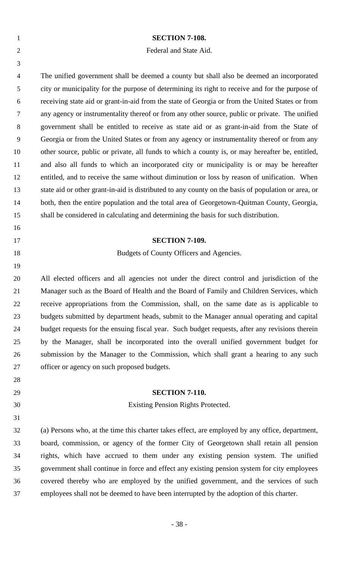| $\mathbf{1}$   | <b>SECTION 7-108.</b>                                                                               |
|----------------|-----------------------------------------------------------------------------------------------------|
| $\overline{2}$ | Federal and State Aid.                                                                              |
| 3              |                                                                                                     |
| $\overline{4}$ | The unified government shall be deemed a county but shall also be deemed an incorporated            |
| 5              | city or municipality for the purpose of determining its right to receive and for the purpose of     |
| 6              | receiving state aid or grant-in-aid from the state of Georgia or from the United States or from     |
| 7              | any agency or instrumentality thereof or from any other source, public or private. The unified      |
| 8              | government shall be entitled to receive as state aid or as grant-in-aid from the State of           |
| 9              | Georgia or from the United States or from any agency or instrumentality thereof or from any         |
| 10             | other source, public or private, all funds to which a county is, or may hereafter be, entitled,     |
| 11             | and also all funds to which an incorporated city or municipality is or may be hereafter             |
| 12             | entitled, and to receive the same without diminution or loss by reason of unification. When         |
| 13             | state aid or other grant-in-aid is distributed to any county on the basis of population or area, or |
| 14             | both, then the entire population and the total area of Georgetown-Quitman County, Georgia,          |
| 15             | shall be considered in calculating and determining the basis for such distribution.                 |
| 16             |                                                                                                     |
| 17             | <b>SECTION 7-109.</b>                                                                               |
| 18             | Budgets of County Officers and Agencies.                                                            |
| 19             |                                                                                                     |
| 20             | All elected officers and all agencies not under the direct control and jurisdiction of the          |
| 21             | Manager such as the Board of Health and the Board of Family and Children Services, which            |
| 22             | receive appropriations from the Commission, shall, on the same date as is applicable to             |
| 23             | budgets submitted by department heads, submit to the Manager annual operating and capital           |
| 24             | budget requests for the ensuing fiscal year. Such budget requests, after any revisions therein      |
| 25             | by the Manager, shall be incorporated into the overall unified government budget for                |
| 26             | submission by the Manager to the Commission, which shall grant a hearing to any such                |
| 27             | officer or agency on such proposed budgets.                                                         |
| 28             |                                                                                                     |
| 29             | <b>SECTION 7-110.</b>                                                                               |
| 30             | Existing Pension Rights Protected.                                                                  |
| 31             |                                                                                                     |
| 32             | (a) Persons who, at the time this charter takes effect, are employed by any office, department,     |
| 33             | board, commission, or agency of the former City of Georgetown shall retain all pension              |
| 34             | rights, which have accrued to them under any existing pension system. The unified                   |
| 35             | government shall continue in force and effect any existing pension system for city employees        |
| 36             | covered thereby who are employed by the unified government, and the services of such                |
| 37             | employees shall not be deemed to have been interrupted by the adoption of this charter.             |
|                |                                                                                                     |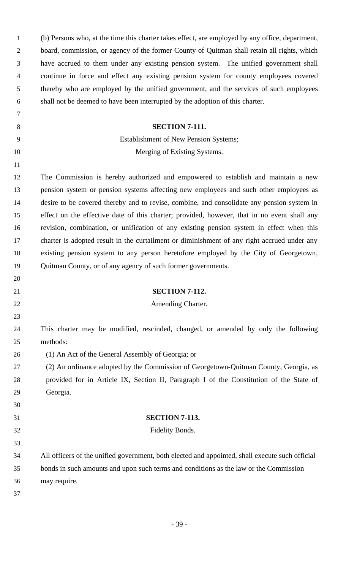| $\mathbf{1}$   | (b) Persons who, at the time this charter takes effect, are employed by any office, department, |
|----------------|-------------------------------------------------------------------------------------------------|
| $\overline{2}$ | board, commission, or agency of the former County of Quitman shall retain all rights, which     |
| 3              | have accrued to them under any existing pension system. The unified government shall            |
| $\overline{4}$ | continue in force and effect any existing pension system for county employees covered           |
| 5              | thereby who are employed by the unified government, and the services of such employees          |
| 6              | shall not be deemed to have been interrupted by the adoption of this charter.                   |
| 7              |                                                                                                 |
| 8              | <b>SECTION 7-111.</b>                                                                           |
| 9              | <b>Establishment of New Pension Systems;</b>                                                    |
| 10             | Merging of Existing Systems.                                                                    |
| 11             |                                                                                                 |
| 12             | The Commission is hereby authorized and empowered to establish and maintain a new               |
| 13             | pension system or pension systems affecting new employees and such other employees as           |
| 14             | desire to be covered thereby and to revise, combine, and consolidate any pension system in      |
| 15             | effect on the effective date of this charter; provided, however, that in no event shall any     |
| 16             | revision, combination, or unification of any existing pension system in effect when this        |
| 17             | charter is adopted result in the curtailment or diminishment of any right accrued under any     |
| 18             | existing pension system to any person heretofore employed by the City of Georgetown,            |
| 19             | Quitman County, or of any agency of such former governments.                                    |
| 20             |                                                                                                 |
| 21             | <b>SECTION 7-112.</b>                                                                           |
| 22             | Amending Charter.                                                                               |
| 23             |                                                                                                 |
| 24             | This charter may be modified, rescinded, changed, or amended by only the following              |
| 25             | methods:                                                                                        |
| 26             | (1) An Act of the General Assembly of Georgia; or                                               |
| 27             | (2) An ordinance adopted by the Commission of Georgetown-Quitman County, Georgia, as            |
| 28             | provided for in Article IX, Section II, Paragraph I of the Constitution of the State of         |
| 29             | Georgia.                                                                                        |
| 30             |                                                                                                 |
| 31             | <b>SECTION 7-113.</b>                                                                           |
| 32             | Fidelity Bonds.                                                                                 |
| 33             |                                                                                                 |
| 34             | All officers of the unified government, both elected and appointed, shall execute such official |
| 35             | bonds in such amounts and upon such terms and conditions as the law or the Commission           |
| 36             | may require.                                                                                    |
| 37             |                                                                                                 |
|                |                                                                                                 |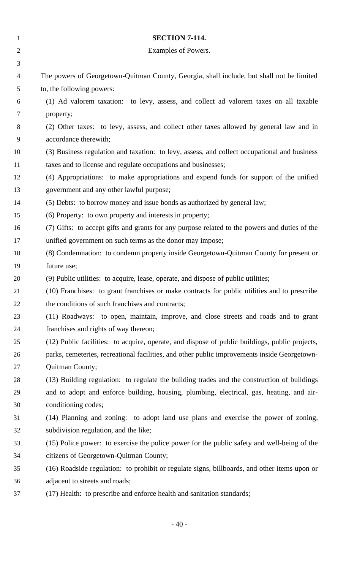| $\mathbf{1}$   | <b>SECTION 7-114.</b>                                                                          |
|----------------|------------------------------------------------------------------------------------------------|
| $\overline{2}$ | Examples of Powers.                                                                            |
| 3              |                                                                                                |
| $\overline{4}$ | The powers of Georgetown-Quitman County, Georgia, shall include, but shall not be limited      |
| 5              | to, the following powers:                                                                      |
| 6              | (1) Ad valorem taxation: to levy, assess, and collect ad valorem taxes on all taxable          |
| 7              | property;                                                                                      |
| 8              | (2) Other taxes: to levy, assess, and collect other taxes allowed by general law and in        |
| 9              | accordance therewith;                                                                          |
| 10             | (3) Business regulation and taxation: to levy, assess, and collect occupational and business   |
| 11             | taxes and to license and regulate occupations and businesses;                                  |
| 12             | (4) Appropriations: to make appropriations and expend funds for support of the unified         |
| 13             | government and any other lawful purpose;                                                       |
| 14             | (5) Debts: to borrow money and issue bonds as authorized by general law;                       |
| 15             | (6) Property: to own property and interests in property;                                       |
| 16             | (7) Gifts: to accept gifts and grants for any purpose related to the powers and duties of the  |
| 17             | unified government on such terms as the donor may impose;                                      |
| 18             | (8) Condemnation: to condemn property inside Georgetown-Quitman County for present or          |
| 19             | future use;                                                                                    |
| 20             | (9) Public utilities: to acquire, lease, operate, and dispose of public utilities;             |
| 21             | (10) Franchises: to grant franchises or make contracts for public utilities and to prescribe   |
| 22             | the conditions of such franchises and contracts;                                               |
| 23             | (11) Roadways: to open, maintain, improve, and close streets and roads and to grant            |
| 24             | franchises and rights of way thereon;                                                          |
| 25             | (12) Public facilities: to acquire, operate, and dispose of public buildings, public projects, |
| 26             | parks, cemeteries, recreational facilities, and other public improvements inside Georgetown-   |
| 27             | Quitman County;                                                                                |
| 28             | (13) Building regulation: to regulate the building trades and the construction of buildings    |
| 29             | and to adopt and enforce building, housing, plumbing, electrical, gas, heating, and air-       |
| 30             | conditioning codes;                                                                            |
| 31             | (14) Planning and zoning: to adopt land use plans and exercise the power of zoning,            |
| 32             | subdivision regulation, and the like;                                                          |
| 33             | (15) Police power: to exercise the police power for the public safety and well-being of the    |
| 34             | citizens of Georgetown-Quitman County;                                                         |
| 35             | (16) Roadside regulation: to prohibit or regulate signs, billboards, and other items upon or   |
| 36             | adjacent to streets and roads;                                                                 |
| 37             | (17) Health: to prescribe and enforce health and sanitation standards;                         |
|                |                                                                                                |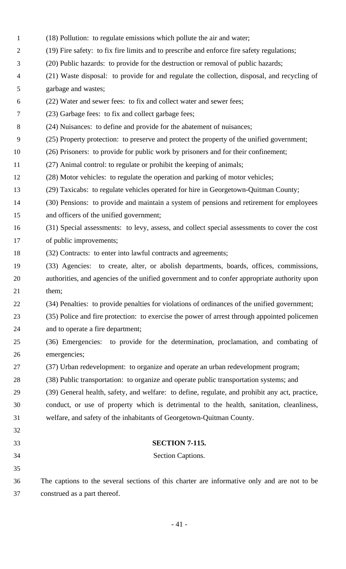- (18) Pollution: to regulate emissions which pollute the air and water;
- (19) Fire safety: to fix fire limits and to prescribe and enforce fire safety regulations;
- (20) Public hazards: to provide for the destruction or removal of public hazards;
- (21) Waste disposal: to provide for and regulate the collection, disposal, and recycling of garbage and wastes;
- (22) Water and sewer fees: to fix and collect water and sewer fees;
- (23) Garbage fees: to fix and collect garbage fees;
- (24) Nuisances: to define and provide for the abatement of nuisances;
- (25) Property protection: to preserve and protect the property of the unified government;
- (26) Prisoners: to provide for public work by prisoners and for their confinement;
- (27) Animal control: to regulate or prohibit the keeping of animals;
- (28) Motor vehicles: to regulate the operation and parking of motor vehicles;
- (29) Taxicabs: to regulate vehicles operated for hire in Georgetown-Quitman County;
- (30) Pensions: to provide and maintain a system of pensions and retirement for employees and officers of the unified government;
- (31) Special assessments: to levy, assess, and collect special assessments to cover the cost of public improvements;
- (32) Contracts: to enter into lawful contracts and agreements;
- (33) Agencies: to create, alter, or abolish departments, boards, offices, commissions, authorities, and agencies of the unified government and to confer appropriate authority upon 21 them;
- (34) Penalties: to provide penalties for violations of ordinances of the unified government;
- (35) Police and fire protection: to exercise the power of arrest through appointed policemen and to operate a fire department;
- (36) Emergencies: to provide for the determination, proclamation, and combating of emergencies;
- (37) Urban redevelopment: to organize and operate an urban redevelopment program;
- (38) Public transportation: to organize and operate public transportation systems; and
- (39) General health, safety, and welfare: to define, regulate, and prohibit any act, practice, conduct, or use of property which is detrimental to the health, sanitation, cleanliness, welfare, and safety of the inhabitants of Georgetown-Quitman County.
- 

## **SECTION 7-115.**

- Section Captions.
- The captions to the several sections of this charter are informative only and are not to be construed as a part thereof.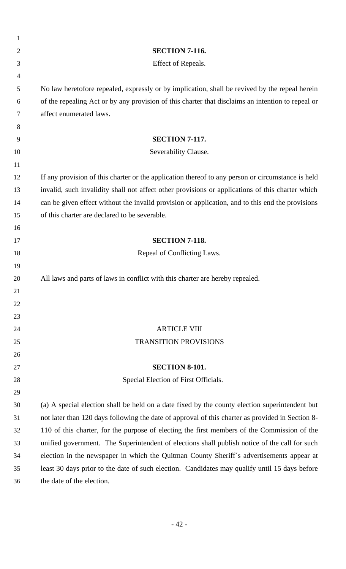| $\mathbf{1}$   |                                                                                                                                                                                           |
|----------------|-------------------------------------------------------------------------------------------------------------------------------------------------------------------------------------------|
| $\overline{2}$ | <b>SECTION 7-116.</b>                                                                                                                                                                     |
| 3              | Effect of Repeals.                                                                                                                                                                        |
| 4              |                                                                                                                                                                                           |
| 5              | No law heretofore repealed, expressly or by implication, shall be revived by the repeal herein                                                                                            |
| 6              | of the repealing Act or by any provision of this charter that disclaims an intention to repeal or                                                                                         |
| 7              | affect enumerated laws.                                                                                                                                                                   |
| 8              |                                                                                                                                                                                           |
| 9              | <b>SECTION 7-117.</b>                                                                                                                                                                     |
| 10             | Severability Clause.                                                                                                                                                                      |
| 11             |                                                                                                                                                                                           |
| 12             | If any provision of this charter or the application thereof to any person or circumstance is held                                                                                         |
| 13             | invalid, such invalidity shall not affect other provisions or applications of this charter which                                                                                          |
| 14             | can be given effect without the invalid provision or application, and to this end the provisions                                                                                          |
| 15             | of this charter are declared to be severable.                                                                                                                                             |
| 16             |                                                                                                                                                                                           |
| 17             | <b>SECTION 7-118.</b>                                                                                                                                                                     |
| 18             | Repeal of Conflicting Laws.                                                                                                                                                               |
| 19             |                                                                                                                                                                                           |
| 20             | All laws and parts of laws in conflict with this charter are hereby repealed.                                                                                                             |
| 21             |                                                                                                                                                                                           |
| 22             |                                                                                                                                                                                           |
| 23             |                                                                                                                                                                                           |
| 24             | <b>ARTICLE VIII</b>                                                                                                                                                                       |
| 25             | <b>TRANSITION PROVISIONS</b>                                                                                                                                                              |
| 26             |                                                                                                                                                                                           |
| 27             | <b>SECTION 8-101.</b>                                                                                                                                                                     |
| 28             | Special Election of First Officials.                                                                                                                                                      |
| 29             |                                                                                                                                                                                           |
| 30             | (a) A special election shall be held on a date fixed by the county election superintendent but                                                                                            |
| 31<br>32       | not later than 120 days following the date of approval of this charter as provided in Section 8-                                                                                          |
| 33             | 110 of this charter, for the purpose of electing the first members of the Commission of the                                                                                               |
| 34             | unified government. The Superintendent of elections shall publish notice of the call for such<br>election in the newspaper in which the Quitman County Sheriff's advertisements appear at |
| 35             |                                                                                                                                                                                           |
| 36             | least 30 days prior to the date of such election. Candidates may qualify until 15 days before<br>the date of the election.                                                                |
|                |                                                                                                                                                                                           |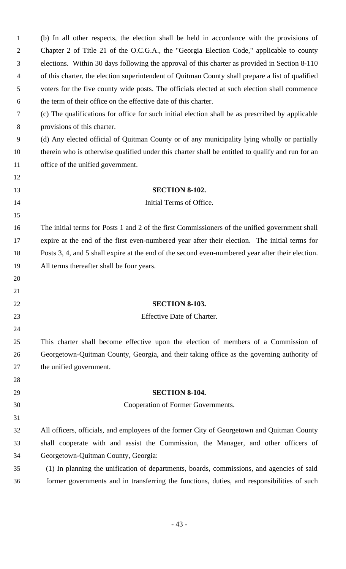| $\mathbf{1}$     | (b) In all other respects, the election shall be held in accordance with the provisions of        |
|------------------|---------------------------------------------------------------------------------------------------|
| 2                | Chapter 2 of Title 21 of the O.C.G.A., the "Georgia Election Code," applicable to county          |
| 3                | elections. Within 30 days following the approval of this charter as provided in Section 8-110     |
| 4                | of this charter, the election superintendent of Quitman County shall prepare a list of qualified  |
| 5                | voters for the five county wide posts. The officials elected at such election shall commence      |
| 6                | the term of their office on the effective date of this charter.                                   |
| 7                | (c) The qualifications for office for such initial election shall be as prescribed by applicable  |
| 8                | provisions of this charter.                                                                       |
| $\boldsymbol{9}$ | (d) Any elected official of Quitman County or of any municipality lying wholly or partially       |
| 10               | therein who is otherwise qualified under this charter shall be entitled to qualify and run for an |
| 11               | office of the unified government.                                                                 |
| 12               |                                                                                                   |
| 13               | <b>SECTION 8-102.</b>                                                                             |
| 14               | Initial Terms of Office.                                                                          |
| 15               |                                                                                                   |
| 16               | The initial terms for Posts 1 and 2 of the first Commissioners of the unified government shall    |
| 17               | expire at the end of the first even-numbered year after their election. The initial terms for     |
| 18               | Posts 3, 4, and 5 shall expire at the end of the second even-numbered year after their election.  |
| 19               | All terms thereafter shall be four years.                                                         |
| 20               |                                                                                                   |
| 21               |                                                                                                   |
| 22               | <b>SECTION 8-103.</b>                                                                             |
| 23               | Effective Date of Charter.                                                                        |
| 24               |                                                                                                   |
| 25               | This charter shall become effective upon the election of members of a Commission of               |
| 26               | Georgetown-Quitman County, Georgia, and their taking office as the governing authority of         |
| 27               | the unified government.                                                                           |
| 28               |                                                                                                   |
| 29               | <b>SECTION 8-104.</b>                                                                             |
| 30               | Cooperation of Former Governments.                                                                |
| 31               |                                                                                                   |
| 32               | All officers, officials, and employees of the former City of Georgetown and Quitman County        |
| 33               | shall cooperate with and assist the Commission, the Manager, and other officers of                |
| 34               | Georgetown-Quitman County, Georgia:                                                               |
| 35               | (1) In planning the unification of departments, boards, commissions, and agencies of said         |
| 36               | former governments and in transferring the functions, duties, and responsibilities of such        |
|                  |                                                                                                   |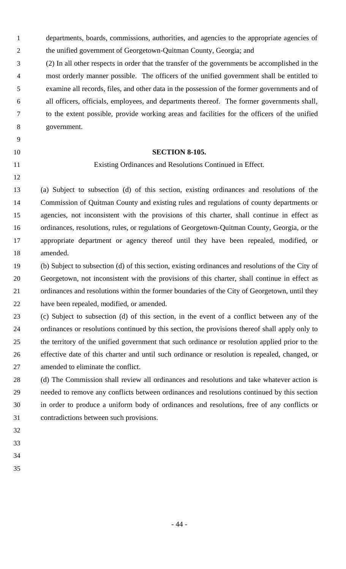- departments, boards, commissions, authorities, and agencies to the appropriate agencies of the unified government of Georgetown-Quitman County, Georgia; and
- (2) In all other respects in order that the transfer of the governments be accomplished in the most orderly manner possible. The officers of the unified government shall be entitled to examine all records, files, and other data in the possession of the former governments and of all officers, officials, employees, and departments thereof. The former governments shall, to the extent possible, provide working areas and facilities for the officers of the unified government.
- 
- **SECTION 8-105.**
- 

Existing Ordinances and Resolutions Continued in Effect.

 (a) Subject to subsection (d) of this section, existing ordinances and resolutions of the Commission of Quitman County and existing rules and regulations of county departments or agencies, not inconsistent with the provisions of this charter, shall continue in effect as ordinances, resolutions, rules, or regulations of Georgetown-Quitman County, Georgia, or the appropriate department or agency thereof until they have been repealed, modified, or amended.

 (b) Subject to subsection (d) of this section, existing ordinances and resolutions of the City of Georgetown, not inconsistent with the provisions of this charter, shall continue in effect as ordinances and resolutions within the former boundaries of the City of Georgetown, until they have been repealed, modified, or amended.

 (c) Subject to subsection (d) of this section, in the event of a conflict between any of the ordinances or resolutions continued by this section, the provisions thereof shall apply only to the territory of the unified government that such ordinance or resolution applied prior to the effective date of this charter and until such ordinance or resolution is repealed, changed, or amended to eliminate the conflict.

 (d) The Commission shall review all ordinances and resolutions and take whatever action is needed to remove any conflicts between ordinances and resolutions continued by this section in order to produce a uniform body of ordinances and resolutions, free of any conflicts or contradictions between such provisions.

- 
- 
- 
-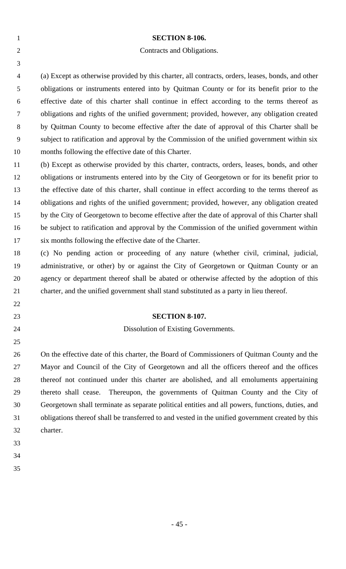| $\mathbf{1}$   | <b>SECTION 8-106.</b>                                                                             |
|----------------|---------------------------------------------------------------------------------------------------|
| $\overline{2}$ | Contracts and Obligations.                                                                        |
| 3              |                                                                                                   |
| 4              | (a) Except as otherwise provided by this charter, all contracts, orders, leases, bonds, and other |
| 5              | obligations or instruments entered into by Quitman County or for its benefit prior to the         |
| 6              | effective date of this charter shall continue in effect according to the terms thereof as         |
| 7              | obligations and rights of the unified government; provided, however, any obligation created       |
| $8\,$          | by Quitman County to become effective after the date of approval of this Charter shall be         |
| 9              | subject to ratification and approval by the Commission of the unified government within six       |
| 10             | months following the effective date of this Charter.                                              |
| 11             | (b) Except as otherwise provided by this charter, contracts, orders, leases, bonds, and other     |
| 12             | obligations or instruments entered into by the City of Georgetown or for its benefit prior to     |
| 13             | the effective date of this charter, shall continue in effect according to the terms thereof as    |
| 14             | obligations and rights of the unified government; provided, however, any obligation created       |
| 15             | by the City of Georgetown to become effective after the date of approval of this Charter shall    |
| 16             | be subject to ratification and approval by the Commission of the unified government within        |
| 17             | six months following the effective date of the Charter.                                           |
| 18             | (c) No pending action or proceeding of any nature (whether civil, criminal, judicial,             |
| 19             | administrative, or other) by or against the City of Georgetown or Quitman County or an            |
| 20             | agency or department thereof shall be abated or otherwise affected by the adoption of this        |
| 21             | charter, and the unified government shall stand substituted as a party in lieu thereof.           |
| 22             |                                                                                                   |
| 23             | <b>SECTION 8-107.</b>                                                                             |
| 24             | Dissolution of Existing Governments.                                                              |
| 25             |                                                                                                   |
| 26             | On the effective date of this charter, the Board of Commissioners of Quitman County and the       |
| 27             | Mayor and Council of the City of Georgetown and all the officers thereof and the offices          |
| 28             | thereof not continued under this charter are abolished, and all emoluments appertaining           |
| 29             | thereto shall cease. Thereupon, the governments of Quitman County and the City of                 |
| 30             | Georgetown shall terminate as separate political entities and all powers, functions, duties, and  |
| 31             | obligations thereof shall be transferred to and vested in the unified government created by this  |
| 32             | charter.                                                                                          |
| 33             |                                                                                                   |
| 34             |                                                                                                   |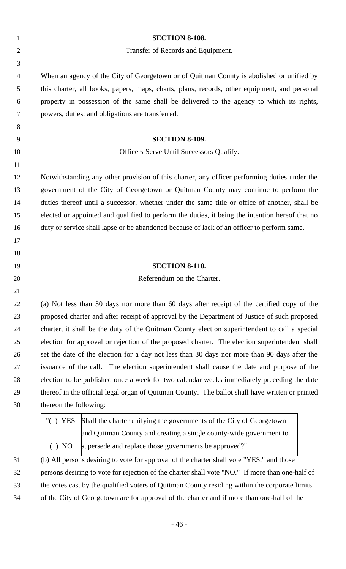| $\mathbf{1}$   | <b>SECTION 8-108.</b>                                                                           |
|----------------|-------------------------------------------------------------------------------------------------|
| $\overline{2}$ | Transfer of Records and Equipment.                                                              |
| 3              |                                                                                                 |
| 4              | When an agency of the City of Georgetown or of Quitman County is abolished or unified by        |
| 5              | this charter, all books, papers, maps, charts, plans, records, other equipment, and personal    |
| 6              | property in possession of the same shall be delivered to the agency to which its rights,        |
| 7              | powers, duties, and obligations are transferred.                                                |
| 8              |                                                                                                 |
| 9              | <b>SECTION 8-109.</b>                                                                           |
| 10             | Officers Serve Until Successors Qualify.                                                        |
| 11             |                                                                                                 |
| 12             | Notwithstanding any other provision of this charter, any officer performing duties under the    |
| 13             | government of the City of Georgetown or Quitman County may continue to perform the              |
| 14             | duties thereof until a successor, whether under the same title or office of another, shall be   |
| 15             | elected or appointed and qualified to perform the duties, it being the intention hereof that no |
| 16             | duty or service shall lapse or be abandoned because of lack of an officer to perform same.      |
| 17             |                                                                                                 |
| 18             |                                                                                                 |
| 19             | <b>SECTION 8-110.</b>                                                                           |
| 20             | Referendum on the Charter.                                                                      |
| 21             |                                                                                                 |
| 22             | (a) Not less than 30 days nor more than 60 days after receipt of the certified copy of the      |
| 23             | proposed charter and after receipt of approval by the Department of Justice of such proposed    |
| 24             | charter, it shall be the duty of the Quitman County election superintendent to call a special   |
| 25             | election for approval or rejection of the proposed charter. The election superintendent shall   |
| 26             | set the date of the election for a day not less than 30 days nor more than 90 days after the    |
| 27             | issuance of the call. The election superintendent shall cause the date and purpose of the       |
| 28             | election to be published once a week for two calendar weeks immediately preceding the date      |
| 29             | thereof in the official legal organ of Quitman County. The ballot shall have written or printed |
| 30             | thereon the following:                                                                          |
|                | " $( )$ YES<br>Shall the charter unifying the governments of the City of Georgetown             |
|                | and Quitman County and creating a single county-wide government to                              |
|                | supersede and replace those governments be approved?"<br>() NO                                  |
| 31             | (b) All persons desiring to vote for approval of the charter shall vote "YES," and those        |
| 32             | persons desiring to vote for rejection of the charter shall vote "NO." If more than one-half of |
| 33             | the votes cast by the qualified voters of Quitman County residing within the corporate limits   |

- 46 -

of the City of Georgetown are for approval of the charter and if more than one-half of the